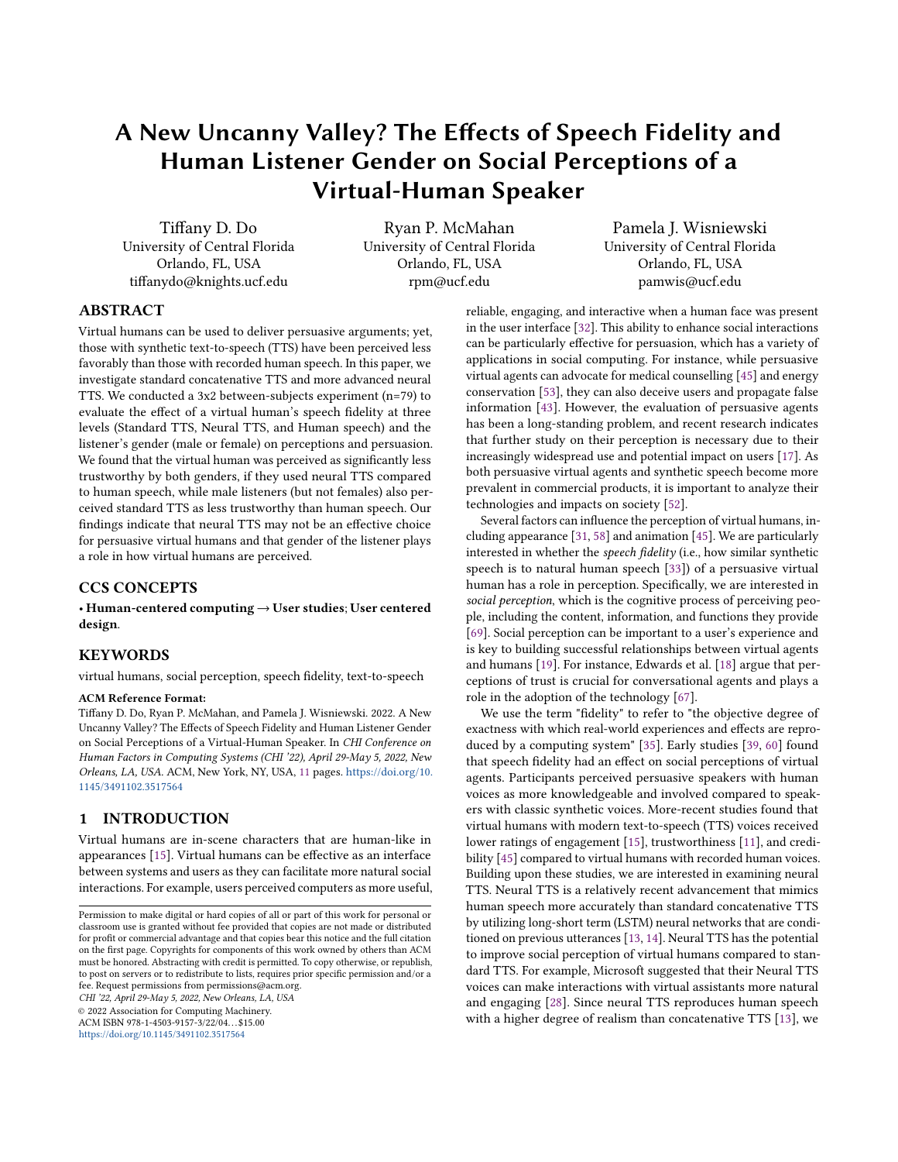# A New Uncanny Valley? The Efects of Speech Fidelity and Human Listener Gender on Social Perceptions of a Virtual-Human Speaker

Tiffany D. Do Ryan P. McMahan Pamela J. Wisniewski<br>University of Central Florida University of Central Florida Diniversity of Central Florida University of Central Florida Orlando, FL, USA Orlando, FL, USA Orlando, FL, USA tifanydo@knights.ucf.edu rpm@ucf.edu pamwis@ucf.edu

# ABSTRACT

Virtual humans can be used to deliver persuasive arguments; yet, those with synthetic text-to-speech (TTS) have been perceived less favorably than those with recorded human speech. In this paper, we investigate standard concatenative TTS and more advanced neural TTS. We conducted a 3x2 between-subjects experiment (n=79) to evaluate the efect of a virtual human's speech fdelity at three levels (Standard TTS, Neural TTS, and Human speech) and the listener's gender (male or female) on perceptions and persuasion. We found that the virtual human was perceived as signifcantly less trustworthy by both genders, if they used neural TTS compared to human speech, while male listeners (but not females) also perceived standard TTS as less trustworthy than human speech. Our fndings indicate that neural TTS may not be an efective choice for persuasive virtual humans and that gender of the listener plays a role in how virtual humans are perceived.

# CCS CONCEPTS

• Human-centered computing → User studies; User centered design.

## **KEYWORDS**

virtual humans, social perception, speech fdelity, text-to-speech

# ACM Reference Format:

Tifany D. Do, Ryan P. McMahan, and Pamela J. Wisniewski. 2022. A New Uncanny Valley? The Efects of Speech Fidelity and Human Listener Gender on Social Perceptions of a Virtual-Human Speaker. In CHI Conference on Human Factors in Computing Systems (CHI '22), April 29-May 5, 2022, New Orleans, LA, USA. ACM, New York, NY, USA, [11](#page-10-0) pages. [https://doi.org/10.](https://doi.org/10.1145/3491102.3517564) [1145/3491102.3517564](https://doi.org/10.1145/3491102.3517564)

# 1 INTRODUCTION

Virtual humans are in-scene characters that are human-like in appearances [\[15\]](#page-8-0). Virtual humans can be efective as an interface between systems and users as they can facilitate more natural social interactions. For example, users perceived computers as more useful,

<https://doi.org/10.1145/3491102.3517564>

reliable, engaging, and interactive when a human face was present in the user interface [\[32\]](#page-8-1). This ability to enhance social interactions can be particularly efective for persuasion, which has a variety of applications in social computing. For instance, while persuasive virtual agents can advocate for medical counselling [\[45\]](#page-8-2) and energy conservation [\[53\]](#page-9-0), they can also deceive users and propagate false information [\[43\]](#page-8-3). However, the evaluation of persuasive agents has been a long-standing problem, and recent research indicates that further study on their perception is necessary due to their increasingly widespread use and potential impact on users [\[17\]](#page-8-4). As both persuasive virtual agents and synthetic speech become more prevalent in commercial products, it is important to analyze their technologies and impacts on society [\[52\]](#page-9-1).

Several factors can infuence the perception of virtual humans, including appearance [\[31,](#page-8-5) [58\]](#page-9-2) and animation [\[45\]](#page-8-2). We are particularly interested in whether the speech fdelity (i.e., how similar synthetic speech is to natural human speech [\[33\]](#page-8-6)) of a persuasive virtual human has a role in perception. Specifcally, we are interested in social perception, which is the cognitive process of perceiving people, including the content, information, and functions they provide [\[69\]](#page-9-3). Social perception can be important to a user's experience and is key to building successful relationships between virtual agents and humans [\[19\]](#page-8-7). For instance, Edwards et al. [\[18\]](#page-8-8) argue that perceptions of trust is crucial for conversational agents and plays a role in the adoption of the technology [\[67\]](#page-9-4).

We use the term "fdelity" to refer to "the objective degree of exactness with which real-world experiences and efects are reproduced by a computing system" [\[35\]](#page-8-9). Early studies [\[39,](#page-8-10) [60\]](#page-9-5) found that speech fdelity had an efect on social perceptions of virtual agents. Participants perceived persuasive speakers with human voices as more knowledgeable and involved compared to speakers with classic synthetic voices. More-recent studies found that virtual humans with modern text-to-speech (TTS) voices received lower ratings of engagement [\[15\]](#page-8-0), trustworthiness [\[11\]](#page-8-11), and credibility [\[45\]](#page-8-2) compared to virtual humans with recorded human voices. Building upon these studies, we are interested in examining neural TTS. Neural TTS is a relatively recent advancement that mimics human speech more accurately than standard concatenative TTS by utilizing long-short term (LSTM) neural networks that are conditioned on previous utterances [\[13,](#page-8-12) [14\]](#page-8-13). Neural TTS has the potential to improve social perception of virtual humans compared to standard TTS. For example, Microsoft suggested that their Neural TTS voices can make interactions with virtual assistants more natural CHI '22, April 29-May 5, 2022, New Orleans, LA, USA and engaging [\[28\]](#page-8-14). Since neural TTS reproduces human speech  $\degree$  2022 Association for Computing Machinery.<br>
ACM ISBN 978-1-4503-9157-3/22/04...\$15.00 with a higher degree with a higher degree of realism than concatenative TTS [\[13\]](#page-8-12), we

Permission to make digital or hard copies of all or part of this work for personal or classroom use is granted without fee provided that copies are not made or distributed for proft or commercial advantage and that copies bear this notice and the full citation on the frst page. Copyrights for components of this work owned by others than ACM must be honored. Abstracting with credit is permitted. To copy otherwise, or republish, to post on servers or to redistribute to lists, requires prior specifc permission and/or a fee. Request permissions from [permissions@acm.org](mailto:permissions@acm.org).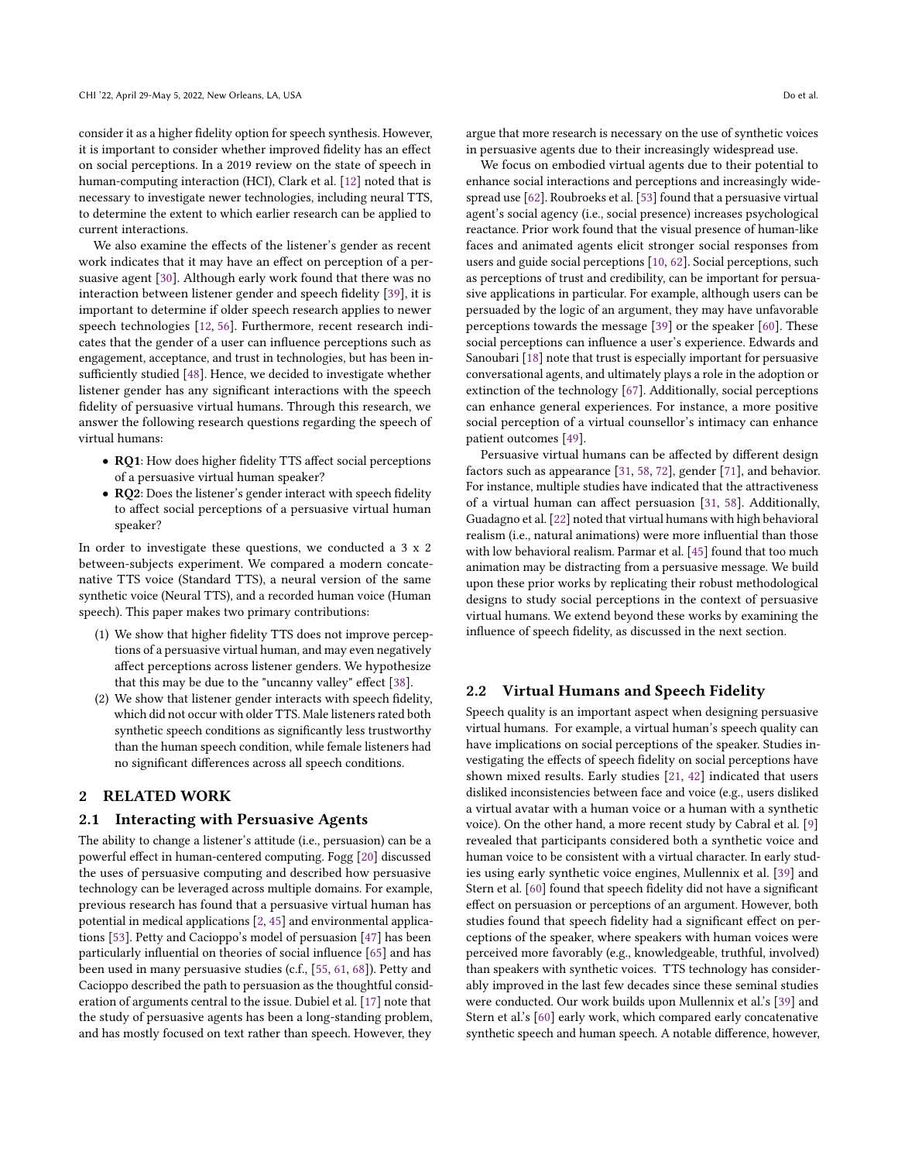consider it as a higher fdelity option for speech synthesis. However, it is important to consider whether improved fdelity has an efect on social perceptions. In a 2019 review on the state of speech in human-computing interaction (HCI), Clark et al. [\[12\]](#page-8-15) noted that is necessary to investigate newer technologies, including neural TTS, to determine the extent to which earlier research can be applied to current interactions.

We also examine the efects of the listener's gender as recent work indicates that it may have an effect on perception of a persuasive agent [\[30\]](#page-8-16). Although early work found that there was no interaction between listener gender and speech fdelity [\[39\]](#page-8-10), it is important to determine if older speech research applies to newer speech technologies [\[12,](#page-8-15) [56\]](#page-9-6). Furthermore, recent research indicates that the gender of a user can infuence perceptions such as engagement, acceptance, and trust in technologies, but has been in-sufficiently studied [\[48\]](#page-9-7). Hence, we decided to investigate whether listener gender has any signifcant interactions with the speech fdelity of persuasive virtual humans. Through this research, we answer the following research questions regarding the speech of virtual humans:

- RQ1: How does higher fdelity TTS afect social perceptions of a persuasive virtual human speaker?
- RQ2: Does the listener's gender interact with speech fdelity to afect social perceptions of a persuasive virtual human speaker?

In order to investigate these questions, we conducted a 3 x 2 between-subjects experiment. We compared a modern concatenative TTS voice (Standard TTS), a neural version of the same synthetic voice (Neural TTS), and a recorded human voice (Human speech). This paper makes two primary contributions:

- (1) We show that higher fdelity TTS does not improve perceptions of a persuasive virtual human, and may even negatively afect perceptions across listener genders. We hypothesize that this may be due to the "uncanny valley" effect [\[38\]](#page-8-17).
- (2) We show that listener gender interacts with speech fdelity, which did not occur with older TTS. Male listeners rated both synthetic speech conditions as signifcantly less trustworthy than the human speech condition, while female listeners had no signifcant diferences across all speech conditions.

# 2 RELATED WORK

#### 2.1 Interacting with Persuasive Agents

The ability to change a listener's attitude (i.e., persuasion) can be a powerful efect in human-centered computing. Fogg [\[20\]](#page-8-18) discussed the uses of persuasive computing and described how persuasive technology can be leveraged across multiple domains. For example, previous research has found that a persuasive virtual human has potential in medical applications [\[2,](#page-7-0) [45\]](#page-8-2) and environmental applications [\[53\]](#page-9-0). Petty and Cacioppo's model of persuasion [\[47\]](#page-9-8) has been particularly infuential on theories of social infuence [\[65\]](#page-9-9) and has been used in many persuasive studies (c.f., [\[55,](#page-9-10) [61,](#page-9-11) [68\]](#page-9-12)). Petty and Cacioppo described the path to persuasion as the thoughtful consideration of arguments central to the issue. Dubiel et al. [\[17\]](#page-8-4) note that the study of persuasive agents has been a long-standing problem, and has mostly focused on text rather than speech. However, they

argue that more research is necessary on the use of synthetic voices in persuasive agents due to their increasingly widespread use.

We focus on embodied virtual agents due to their potential to enhance social interactions and perceptions and increasingly widespread use [\[62\]](#page-9-13). Roubroeks et al. [\[53\]](#page-9-0) found that a persuasive virtual agent's social agency (i.e., social presence) increases psychological reactance. Prior work found that the visual presence of human-like faces and animated agents elicit stronger social responses from users and guide social perceptions [\[10,](#page-8-19) [62\]](#page-9-13). Social perceptions, such as perceptions of trust and credibility, can be important for persuasive applications in particular. For example, although users can be persuaded by the logic of an argument, they may have unfavorable perceptions towards the message [\[39\]](#page-8-10) or the speaker [\[60\]](#page-9-5). These social perceptions can infuence a user's experience. Edwards and Sanoubari [\[18\]](#page-8-8) note that trust is especially important for persuasive conversational agents, and ultimately plays a role in the adoption or extinction of the technology [\[67\]](#page-9-4). Additionally, social perceptions can enhance general experiences. For instance, a more positive social perception of a virtual counsellor's intimacy can enhance patient outcomes [\[49\]](#page-9-14).

Persuasive virtual humans can be afected by diferent design factors such as appearance [\[31,](#page-8-5) [58,](#page-9-2) [72\]](#page-9-15), gender [\[71\]](#page-9-16), and behavior. For instance, multiple studies have indicated that the attractiveness of a virtual human can afect persuasion [\[31,](#page-8-5) [58\]](#page-9-2). Additionally, Guadagno et al. [\[22\]](#page-8-20) noted that virtual humans with high behavioral realism (i.e., natural animations) were more infuential than those with low behavioral realism. Parmar et al. [\[45\]](#page-8-2) found that too much animation may be distracting from a persuasive message. We build upon these prior works by replicating their robust methodological designs to study social perceptions in the context of persuasive virtual humans. We extend beyond these works by examining the infuence of speech fdelity, as discussed in the next section.

## 2.2 Virtual Humans and Speech Fidelity

Speech quality is an important aspect when designing persuasive virtual humans. For example, a virtual human's speech quality can have implications on social perceptions of the speaker. Studies investigating the efects of speech fdelity on social perceptions have shown mixed results. Early studies [\[21,](#page-8-21) [42\]](#page-8-22) indicated that users disliked inconsistencies between face and voice (e.g., users disliked a virtual avatar with a human voice or a human with a synthetic voice). On the other hand, a more recent study by Cabral et al. [\[9\]](#page-8-23) revealed that participants considered both a synthetic voice and human voice to be consistent with a virtual character. In early studies using early synthetic voice engines, Mullennix et al. [\[39\]](#page-8-10) and Stern et al. [\[60\]](#page-9-5) found that speech fdelity did not have a signifcant efect on persuasion or perceptions of an argument. However, both studies found that speech fidelity had a significant effect on perceptions of the speaker, where speakers with human voices were perceived more favorably (e.g., knowledgeable, truthful, involved) than speakers with synthetic voices. TTS technology has considerably improved in the last few decades since these seminal studies were conducted. Our work builds upon Mullennix et al.'s [\[39\]](#page-8-10) and Stern et al.'s [\[60\]](#page-9-5) early work, which compared early concatenative synthetic speech and human speech. A notable diference, however,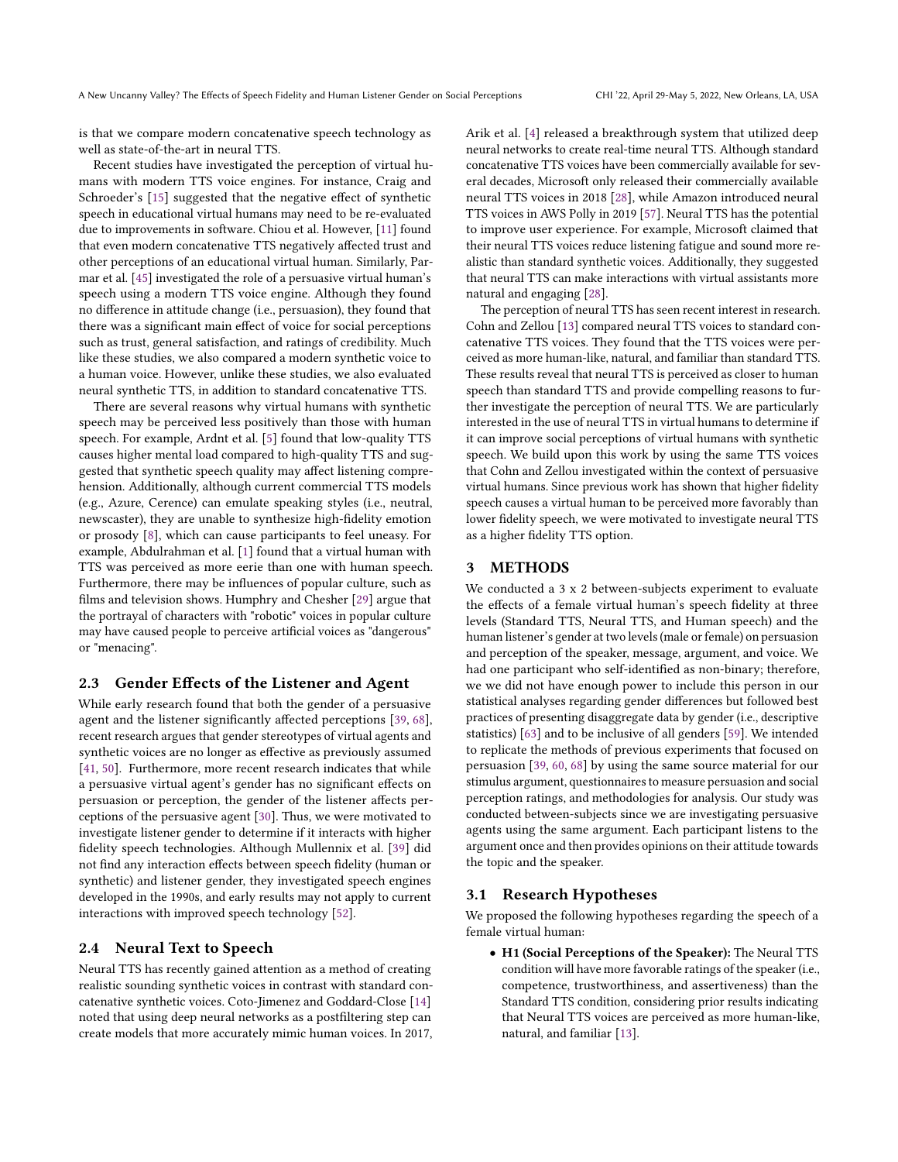is that we compare modern concatenative speech technology as well as state-of-the-art in neural TTS.

Recent studies have investigated the perception of virtual humans with modern TTS voice engines. For instance, Craig and Schroeder's [\[15\]](#page-8-0) suggested that the negative effect of synthetic speech in educational virtual humans may need to be re-evaluated due to improvements in software. Chiou et al. However, [\[11\]](#page-8-11) found that even modern concatenative TTS negatively afected trust and other perceptions of an educational virtual human. Similarly, Parmar et al. [\[45\]](#page-8-2) investigated the role of a persuasive virtual human's speech using a modern TTS voice engine. Although they found no diference in attitude change (i.e., persuasion), they found that there was a signifcant main efect of voice for social perceptions such as trust, general satisfaction, and ratings of credibility. Much like these studies, we also compared a modern synthetic voice to a human voice. However, unlike these studies, we also evaluated neural synthetic TTS, in addition to standard concatenative TTS.

There are several reasons why virtual humans with synthetic speech may be perceived less positively than those with human speech. For example, Ardnt et al. [\[5\]](#page-8-24) found that low-quality TTS causes higher mental load compared to high-quality TTS and suggested that synthetic speech quality may afect listening comprehension. Additionally, although current commercial TTS models (e.g., Azure, Cerence) can emulate speaking styles (i.e., neutral, newscaster), they are unable to synthesize high-fdelity emotion or prosody [\[8\]](#page-8-25), which can cause participants to feel uneasy. For example, Abdulrahman et al. [\[1\]](#page-7-1) found that a virtual human with TTS was perceived as more eerie than one with human speech. Furthermore, there may be infuences of popular culture, such as flms and television shows. Humphry and Chesher [\[29\]](#page-8-26) argue that the portrayal of characters with "robotic" voices in popular culture may have caused people to perceive artifcial voices as "dangerous" or "menacing".

# 2.3 Gender Efects of the Listener and Agent

While early research found that both the gender of a persuasive agent and the listener signifcantly afected perceptions [\[39,](#page-8-10) [68\]](#page-9-12), recent research argues that gender stereotypes of virtual agents and synthetic voices are no longer as efective as previously assumed [\[41,](#page-8-27) [50\]](#page-9-17). Furthermore, more recent research indicates that while a persuasive virtual agent's gender has no signifcant efects on persuasion or perception, the gender of the listener afects perceptions of the persuasive agent [\[30\]](#page-8-16). Thus, we were motivated to investigate listener gender to determine if it interacts with higher fdelity speech technologies. Although Mullennix et al. [\[39\]](#page-8-10) did not fnd any interaction efects between speech fdelity (human or synthetic) and listener gender, they investigated speech engines developed in the 1990s, and early results may not apply to current interactions with improved speech technology [\[52\]](#page-9-1).

# 2.4 Neural Text to Speech

Neural TTS has recently gained attention as a method of creating realistic sounding synthetic voices in contrast with standard concatenative synthetic voices. Coto-Jimenez and Goddard-Close [\[14\]](#page-8-13) noted that using deep neural networks as a postfltering step can create models that more accurately mimic human voices. In 2017, Arik et al. [\[4\]](#page-7-2) released a breakthrough system that utilized deep neural networks to create real-time neural TTS. Although standard concatenative TTS voices have been commercially available for several decades, Microsoft only released their commercially available neural TTS voices in 2018 [\[28\]](#page-8-14), while Amazon introduced neural TTS voices in AWS Polly in 2019 [\[57\]](#page-9-18). Neural TTS has the potential to improve user experience. For example, Microsoft claimed that their neural TTS voices reduce listening fatigue and sound more realistic than standard synthetic voices. Additionally, they suggested that neural TTS can make interactions with virtual assistants more natural and engaging [\[28\]](#page-8-14).

The perception of neural TTS has seen recent interest in research. Cohn and Zellou [\[13\]](#page-8-12) compared neural TTS voices to standard concatenative TTS voices. They found that the TTS voices were perceived as more human-like, natural, and familiar than standard TTS. These results reveal that neural TTS is perceived as closer to human speech than standard TTS and provide compelling reasons to further investigate the perception of neural TTS. We are particularly interested in the use of neural TTS in virtual humans to determine if it can improve social perceptions of virtual humans with synthetic speech. We build upon this work by using the same TTS voices that Cohn and Zellou investigated within the context of persuasive virtual humans. Since previous work has shown that higher fdelity speech causes a virtual human to be perceived more favorably than lower fdelity speech, we were motivated to investigate neural TTS as a higher fdelity TTS option.

# 3 METHODS

We conducted a 3 x 2 between-subjects experiment to evaluate the efects of a female virtual human's speech fdelity at three levels (Standard TTS, Neural TTS, and Human speech) and the human listener's gender at two levels (male or female) on persuasion and perception of the speaker, message, argument, and voice. We had one participant who self-identifed as non-binary; therefore, we we did not have enough power to include this person in our statistical analyses regarding gender diferences but followed best practices of presenting disaggregate data by gender (i.e., descriptive statistics) [\[63\]](#page-9-19) and to be inclusive of all genders [\[59\]](#page-9-20). We intended to replicate the methods of previous experiments that focused on persuasion [\[39,](#page-8-10) [60,](#page-9-5) [68\]](#page-9-12) by using the same source material for our stimulus argument, questionnaires to measure persuasion and social perception ratings, and methodologies for analysis. Our study was conducted between-subjects since we are investigating persuasive agents using the same argument. Each participant listens to the argument once and then provides opinions on their attitude towards the topic and the speaker.

# 3.1 Research Hypotheses

We proposed the following hypotheses regarding the speech of a female virtual human:

• H1 (Social Perceptions of the Speaker): The Neural TTS condition will have more favorable ratings of the speaker(i.e., competence, trustworthiness, and assertiveness) than the Standard TTS condition, considering prior results indicating that Neural TTS voices are perceived as more human-like, natural, and familiar [\[13\]](#page-8-12).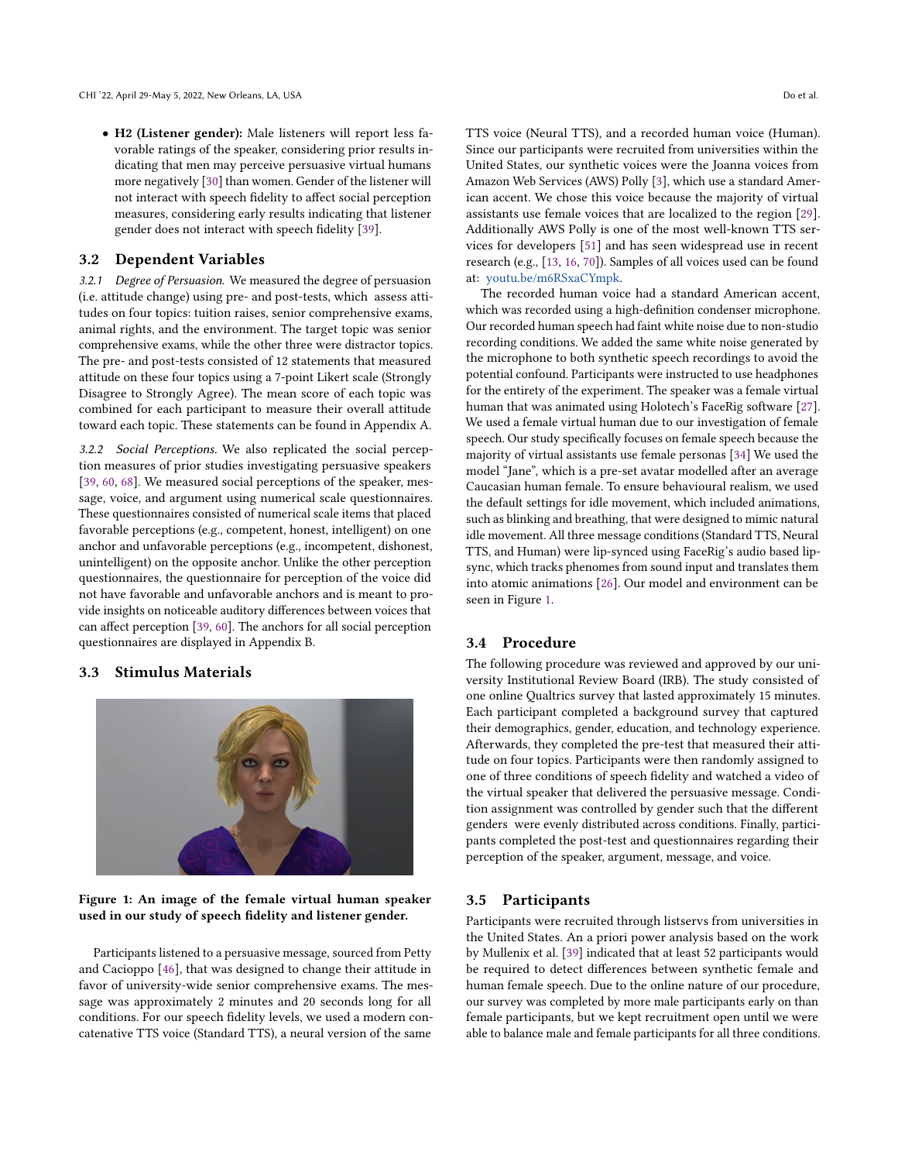• H2 (Listener gender): Male listeners will report less favorable ratings of the speaker, considering prior results indicating that men may perceive persuasive virtual humans more negatively [\[30\]](#page-8-16) than women. Gender of the listener will not interact with speech fdelity to afect social perception measures, considering early results indicating that listener gender does not interact with speech fdelity [\[39\]](#page-8-10).

# 3.2 Dependent Variables

3.2.1 Degree of Persuasion. We measured the degree of persuasion (i.e. attitude change) using pre- and post-tests, which assess attitudes on four topics: tuition raises, senior comprehensive exams, animal rights, and the environment. The target topic was senior comprehensive exams, while the other three were distractor topics. The pre- and post-tests consisted of 12 statements that measured attitude on these four topics using a 7-point Likert scale (Strongly Disagree to Strongly Agree). The mean score of each topic was combined for each participant to measure their overall attitude toward each topic. These statements can be found in Appendix A.

3.2.2 Social Perceptions. We also replicated the social perception measures of prior studies investigating persuasive speakers [\[39,](#page-8-10) [60,](#page-9-5) [68\]](#page-9-12). We measured social perceptions of the speaker, message, voice, and argument using numerical scale questionnaires. These questionnaires consisted of numerical scale items that placed favorable perceptions (e.g., competent, honest, intelligent) on one anchor and unfavorable perceptions (e.g., incompetent, dishonest, unintelligent) on the opposite anchor. Unlike the other perception questionnaires, the questionnaire for perception of the voice did not have favorable and unfavorable anchors and is meant to provide insights on noticeable auditory diferences between voices that can afect perception [\[39,](#page-8-10) [60\]](#page-9-5). The anchors for all social perception questionnaires are displayed in Appendix B.

#### 3.3 Stimulus Materials

<span id="page-3-0"></span>

# Figure 1: An image of the female virtual human speaker used in our study of speech fdelity and listener gender.

Participants listened to a persuasive message, sourced from Petty and Cacioppo [\[46\]](#page-8-28), that was designed to change their attitude in favor of university-wide senior comprehensive exams. The message was approximately 2 minutes and 20 seconds long for all conditions. For our speech fdelity levels, we used a modern concatenative TTS voice (Standard TTS), a neural version of the same

TTS voice (Neural TTS), and a recorded human voice (Human). Since our participants were recruited from universities within the United States, our synthetic voices were the Joanna voices from Amazon Web Services (AWS) Polly [\[3\]](#page-7-3), which use a standard American accent. We chose this voice because the majority of virtual assistants use female voices that are localized to the region [\[29\]](#page-8-26). Additionally AWS Polly is one of the most well-known TTS services for developers [\[51\]](#page-9-21) and has seen widespread use in recent research (e.g., [\[13,](#page-8-12) [16,](#page-8-29) [70\]](#page-9-22)). Samples of all voices used can be found at: [youtu.be/m6RSxaCYmpk.](http://youtu.be/m6RSxaCYmpk)

The recorded human voice had a standard American accent, which was recorded using a high-defnition condenser microphone. Our recorded human speech had faint white noise due to non-studio recording conditions. We added the same white noise generated by the microphone to both synthetic speech recordings to avoid the potential confound. Participants were instructed to use headphones for the entirety of the experiment. The speaker was a female virtual human that was animated using Holotech's FaceRig software [\[27\]](#page-8-30). We used a female virtual human due to our investigation of female speech. Our study specifcally focuses on female speech because the majority of virtual assistants use female personas [\[34\]](#page-8-31) We used the model "Jane", which is a pre-set avatar modelled after an average Caucasian human female. To ensure behavioural realism, we used the default settings for idle movement, which included animations, such as blinking and breathing, that were designed to mimic natural idle movement. All three message conditions (Standard TTS, Neural TTS, and Human) were lip-synced using FaceRig's audio based lipsync, which tracks phenomes from sound input and translates them into atomic animations [\[26\]](#page-8-32). Our model and environment can be seen in Figure [1.](#page-3-0)

#### 3.4 Procedure

The following procedure was reviewed and approved by our university Institutional Review Board (IRB). The study consisted of one online Qualtrics survey that lasted approximately 15 minutes. Each participant completed a background survey that captured their demographics, gender, education, and technology experience. Afterwards, they completed the pre-test that measured their attitude on four topics. Participants were then randomly assigned to one of three conditions of speech fdelity and watched a video of the virtual speaker that delivered the persuasive message. Condition assignment was controlled by gender such that the diferent genders were evenly distributed across conditions. Finally, participants completed the post-test and questionnaires regarding their perception of the speaker, argument, message, and voice.

#### 3.5 Participants

Participants were recruited through listservs from universities in the United States. An a priori power analysis based on the work by Mullenix et al. [\[39\]](#page-8-10) indicated that at least 52 participants would be required to detect diferences between synthetic female and human female speech. Due to the online nature of our procedure, our survey was completed by more male participants early on than female participants, but we kept recruitment open until we were able to balance male and female participants for all three conditions.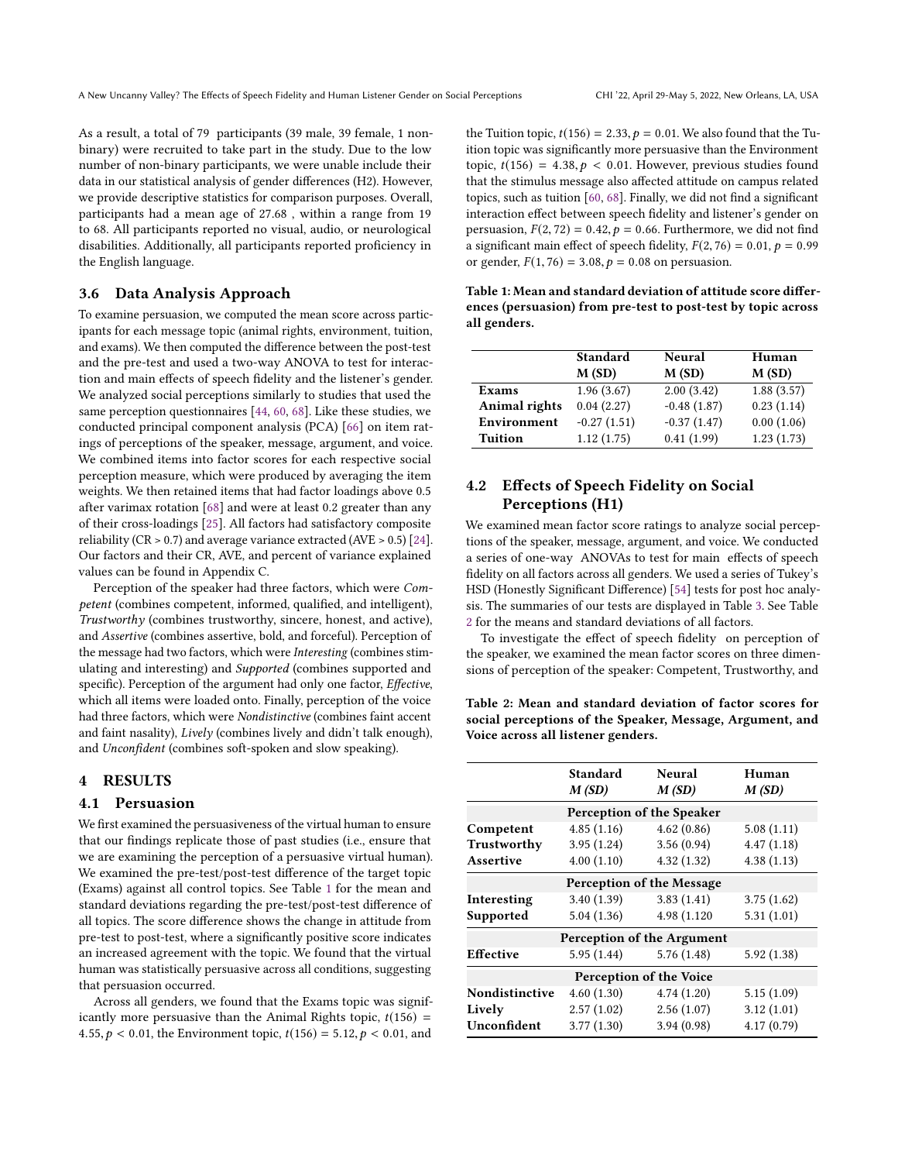As a result, a total of 79 participants (39 male, 39 female, 1 nonbinary) were recruited to take part in the study. Due to the low number of non-binary participants, we were unable include their data in our statistical analysis of gender diferences (H2). However, we provide descriptive statistics for comparison purposes. Overall, participants had a mean age of 27.68 , within a range from 19 to 68. All participants reported no visual, audio, or neurological disabilities. Additionally, all participants reported profciency in the English language.

# 3.6 Data Analysis Approach

To examine persuasion, we computed the mean score across participants for each message topic (animal rights, environment, tuition, and exams). We then computed the diference between the post-test and the pre-test and used a two-way ANOVA to test for interaction and main efects of speech fdelity and the listener's gender. We analyzed social perceptions similarly to studies that used the same perception questionnaires [\[44,](#page-8-33) [60,](#page-9-5) [68\]](#page-9-12). Like these studies, we conducted principal component analysis (PCA) [\[66\]](#page-9-23) on item ratings of perceptions of the speaker, message, argument, and voice. We combined items into factor scores for each respective social perception measure, which were produced by averaging the item weights. We then retained items that had factor loadings above 0.5 after varimax rotation [\[68\]](#page-9-12) and were at least 0.2 greater than any of their cross-loadings [\[25\]](#page-8-34). All factors had satisfactory composite reliability (CR  $> 0.7$ ) and average variance extracted (AVE  $> 0.5$ ) [\[24\]](#page-8-35). Our factors and their CR, AVE, and percent of variance explained values can be found in Appendix C.

Perception of the speaker had three factors, which were Competent (combines competent, informed, qualifed, and intelligent), Trustworthy (combines trustworthy, sincere, honest, and active), and Assertive (combines assertive, bold, and forceful). Perception of the message had two factors, which were Interesting (combines stimulating and interesting) and Supported (combines supported and specific). Perception of the argument had only one factor, Effective, which all items were loaded onto. Finally, perception of the voice had three factors, which were Nondistinctive (combines faint accent and faint nasality), Lively (combines lively and didn't talk enough), and Unconfdent (combines soft-spoken and slow speaking).

#### 4 RESULTS

# 4.1 Persuasion

We frst examined the persuasiveness of the virtual human to ensure that our fndings replicate those of past studies (i.e., ensure that we are examining the perception of a persuasive virtual human). We examined the pre-test/post-test diference of the target topic (Exams) against all control topics. See Table [1](#page-4-0) for the mean and standard deviations regarding the pre-test/post-test diference of all topics. The score diference shows the change in attitude from pre-test to post-test, where a signifcantly positive score indicates an increased agreement with the topic. We found that the virtual human was statistically persuasive across all conditions, suggesting that persuasion occurred.

Across all genders, we found that the Exams topic was significantly more persuasive than the Animal Rights topic,  $t(156)$  = 4.55,  $p < 0.01$ , the Environment topic,  $t(156) = 5.12$ ,  $p < 0.01$ , and

the Tuition topic,  $t(156) = 2.33$ ,  $p = 0.01$ . We also found that the Tuition topic was signifcantly more persuasive than the Environment topic,  $t(156) = 4.38, p < 0.01$ . However, previous studies found that the stimulus message also afected attitude on campus related topics, such as tuition [\[60,](#page-9-5) [68\]](#page-9-12). Finally, we did not fnd a signifcant interaction efect between speech fdelity and listener's gender on persuasion,  $F(2, 72) = 0.42$ ,  $p = 0.66$ . Furthermore, we did not find a significant main effect of speech fidelity,  $F(2, 76) = 0.01$ ,  $p = 0.99$ or gender,  $F(1, 76) = 3.08$ ,  $p = 0.08$  on persuasion.

<span id="page-4-0"></span>Table 1: Mean and standard deviation of attitude score diferences (persuasion) from pre-test to post-test by topic across all genders.

|                      | <b>Standard</b> | Neural        | Human      |  |
|----------------------|-----------------|---------------|------------|--|
|                      | M(SD)           | M(SD)         | M(SD)      |  |
| <b>Exams</b>         | 1.96(3.67)      | 2.00(3.42)    | 1.88(3.57) |  |
| <b>Animal rights</b> | 0.04(2.27)      | $-0.48(1.87)$ | 0.23(1.14) |  |
| Environment          | $-0.27(1.51)$   | $-0.37(1.47)$ | 0.00(1.06) |  |
| <b>Tuition</b>       | 1.12(1.75)      | 0.41(1.99)    | 1.23(1.73) |  |

# 4.2 Efects of Speech Fidelity on Social Perceptions (H1)

We examined mean factor score ratings to analyze social perceptions of the speaker, message, argument, and voice. We conducted a series of one-way ANOVAs to test for main efects of speech fdelity on all factors across all genders. We used a series of Tukey's HSD (Honestly Signifcant Diference) [\[54\]](#page-9-24) tests for post hoc analysis. The summaries of our tests are displayed in Table [3.](#page-5-0) See Table [2](#page-4-1) for the means and standard deviations of all factors.

To investigate the effect of speech fidelity on perception of the speaker, we examined the mean factor scores on three dimensions of perception of the speaker: Competent, Trustworthy, and

<span id="page-4-1"></span>Table 2: Mean and standard deviation of factor scores for social perceptions of the Speaker, Message, Argument, and Voice across all listener genders.

|                           | Standard<br>M(SD) | Neural<br>M(SD)            | Human<br>M(SD) |  |  |  |  |  |
|---------------------------|-------------------|----------------------------|----------------|--|--|--|--|--|
| Perception of the Speaker |                   |                            |                |  |  |  |  |  |
| Competent                 | 4.85(1.16)        | 4.62(0.86)                 | 5.08(1.11)     |  |  |  |  |  |
| Trustworthy               | 3.95(1.24)        | 3.56(0.94)                 | 4.47(1.18)     |  |  |  |  |  |
| Assertive                 | 4.00(1.10)        | 4.32(1.32)                 | 4.38(1.13)     |  |  |  |  |  |
| Perception of the Message |                   |                            |                |  |  |  |  |  |
| Interesting               | 3.40(1.39)        | 3.83(1.41)                 | 3.75(1.62)     |  |  |  |  |  |
| Supported                 | 5.04(1.36)        | 4.98 (1.120)               | 5.31(1.01)     |  |  |  |  |  |
|                           |                   | Perception of the Argument |                |  |  |  |  |  |
| Effective                 | 5.95 (1.44)       | 5.76(1.48)                 | 5.92(1.38)     |  |  |  |  |  |
| Perception of the Voice   |                   |                            |                |  |  |  |  |  |
| Nondistinctive            | 4.60(1.30)        | 4.74(1.20)                 | 5.15(1.09)     |  |  |  |  |  |
| Lively                    | 2.57(1.02)        | 2.56(1.07)                 | 3.12(1.01)     |  |  |  |  |  |
| Unconfident               | 3.77(1.30)        | 3.94(0.98)                 | 4.17(0.79)     |  |  |  |  |  |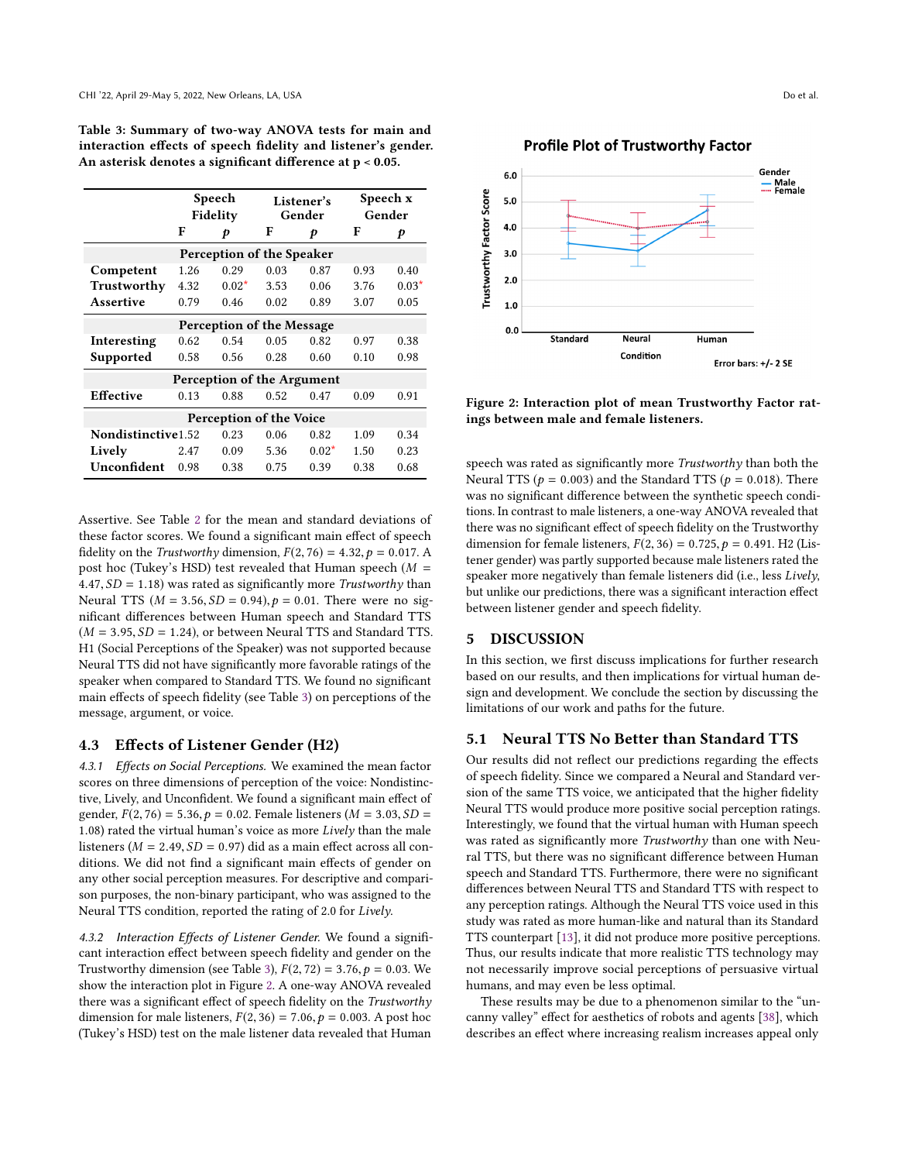<span id="page-5-0"></span>Table 3: Summary of two-way ANOVA tests for main and interaction efects of speech fdelity and listener's gender. An asterisk denotes a signifcant diference at p < 0.05.

|                            | Speech<br>Fidelity |         | Listener's<br>Gender |         | Speech x<br>Gender |         |
|----------------------------|--------------------|---------|----------------------|---------|--------------------|---------|
|                            | F                  | p       | F                    | p       | F                  | p       |
| Perception of the Speaker  |                    |         |                      |         |                    |         |
| Competent                  | 1.26               | 0.29    | 0.03                 | 0.87    | 0.93               | 0.40    |
| Trustworthy                | 4.32               | $0.02*$ | 3.53                 | 0.06    | 3.76               | $0.03*$ |
| Assertive                  | 0.79               | 0.46    | 0.02                 | 0.89    | 3.07               | 0.05    |
| Perception of the Message  |                    |         |                      |         |                    |         |
| Interesting                | 0.62               | 0.54    | 0.05                 | 0.82    | 0.97               | 0.38    |
| Supported                  | 0.58               | 0.56    | 0.28                 | 0.60    | 0.10               | 0.98    |
| Perception of the Argument |                    |         |                      |         |                    |         |
| <b>Effective</b>           | 0.13               | 0.88    | 0.52                 | 0.47    | 0.09               | 0.91    |
| Perception of the Voice    |                    |         |                      |         |                    |         |
| Nondistinctive1.52         |                    | 0.23    | 0.06                 | 0.82    | 1.09               | 0.34    |
| Lively                     | 2.47               | 0.09    | 5.36                 | $0.02*$ | 1.50               | 0.23    |
| Unconfident                | 0.98               | 0.38    | 0.75                 | 0.39    | 0.38               | 0.68    |

Assertive. See Table [2](#page-4-1) for the mean and standard deviations of these factor scores. We found a signifcant main efect of speech fidelity on the *Trustworthy* dimension,  $F(2, 76) = 4.32$ ,  $p = 0.017$ . A post hoc (Tukey's HSD) test revealed that Human speech ( $M =$  $4.47, SD = 1.18$ ) was rated as significantly more Trustworthy than Neural TTS ( $M = 3.56$ ,  $SD = 0.94$ ),  $p = 0.01$ . There were no signifcant diferences between Human speech and Standard TTS  $(M = 3.95, SD = 1.24)$ , or between Neural TTS and Standard TTS. H1 (Social Perceptions of the Speaker) was not supported because Neural TTS did not have signifcantly more favorable ratings of the speaker when compared to Standard TTS. We found no signifcant main efects of speech fdelity (see Table [3\)](#page-5-0) on perceptions of the message, argument, or voice.

## 4.3 Efects of Listener Gender (H2)

4.3.1 Effects on Social Perceptions. We examined the mean factor scores on three dimensions of perception of the voice: Nondistinctive, Lively, and Unconfdent. We found a signifcant main efect of gender,  $F(2, 76) = 5.36$ ,  $p = 0.02$ . Female listeners ( $M = 3.03$ ,  $SD =$ <sup>1</sup>.08) rated the virtual human's voice as more Lively than the male listeners ( $M = 2.49$ ,  $SD = 0.97$ ) did as a main effect across all conditions. We did not fnd a signifcant main efects of gender on any other social perception measures. For descriptive and comparison purposes, the non-binary participant, who was assigned to the Neural TTS condition, reported the rating of 2.0 for Lively.

4.3.2 Interaction Effects of Listener Gender. We found a significant interaction efect between speech fdelity and gender on the Trustworthy dimension (see Table [3\)](#page-5-0),  $F(2, 72) = 3.76$ ,  $p = 0.03$ . We show the interaction plot in Figure [2.](#page-5-1) A one-way ANOVA revealed there was a significant effect of speech fidelity on the Trustworthy dimension for male listeners,  $F(2, 36) = 7.06$ ,  $p = 0.003$ . A post hoc (Tukey's HSD) test on the male listener data revealed that Human



<span id="page-5-1"></span>

Figure 2: Interaction plot of mean Trustworthy Factor ratings between male and female listeners.

speech was rated as significantly more Trustworthy than both the Neural TTS ( $p = 0.003$ ) and the Standard TTS ( $p = 0.018$ ). There was no signifcant diference between the synthetic speech conditions. In contrast to male listeners, a one-way ANOVA revealed that there was no signifcant efect of speech fdelity on the Trustworthy dimension for female listeners,  $F(2, 36) = 0.725$ ,  $p = 0.491$ . H2 (Listener gender) was partly supported because male listeners rated the speaker more negatively than female listeners did (i.e., less Lively, but unlike our predictions, there was a signifcant interaction efect between listener gender and speech fdelity.

# 5 DISCUSSION

In this section, we frst discuss implications for further research based on our results, and then implications for virtual human design and development. We conclude the section by discussing the limitations of our work and paths for the future.

# 5.1 Neural TTS No Better than Standard TTS

Our results did not refect our predictions regarding the efects of speech fdelity. Since we compared a Neural and Standard version of the same TTS voice, we anticipated that the higher fdelity Neural TTS would produce more positive social perception ratings. Interestingly, we found that the virtual human with Human speech was rated as signifcantly more Trustworthy than one with Neural TTS, but there was no signifcant diference between Human speech and Standard TTS. Furthermore, there were no signifcant diferences between Neural TTS and Standard TTS with respect to any perception ratings. Although the Neural TTS voice used in this study was rated as more human-like and natural than its Standard TTS counterpart [\[13\]](#page-8-12), it did not produce more positive perceptions. Thus, our results indicate that more realistic TTS technology may not necessarily improve social perceptions of persuasive virtual humans, and may even be less optimal.

These results may be due to a phenomenon similar to the "uncanny valley" efect for aesthetics of robots and agents [\[38\]](#page-8-17), which describes an efect where increasing realism increases appeal only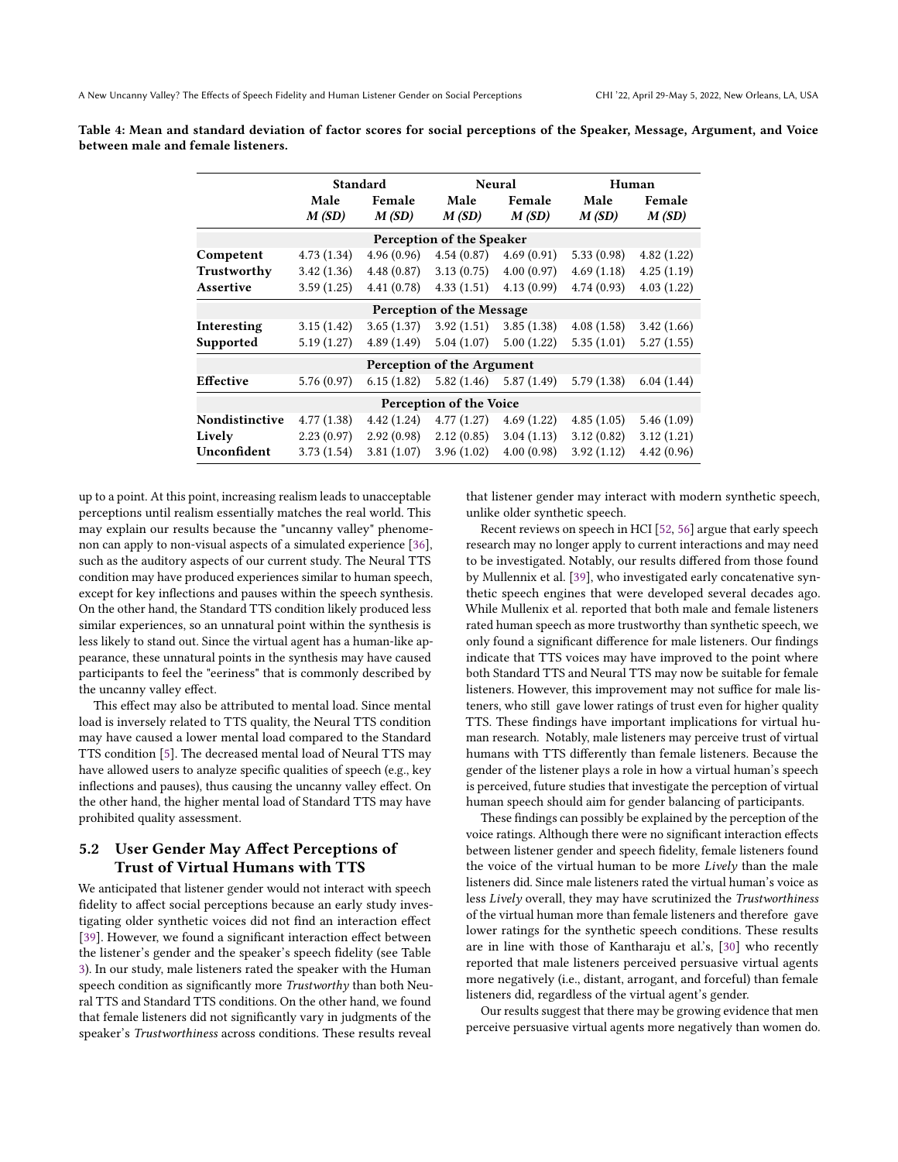|                            | Standard      |                 |                           | <b>Neural</b>             |               | Human           |  |
|----------------------------|---------------|-----------------|---------------------------|---------------------------|---------------|-----------------|--|
|                            | Male<br>M(SD) | Female<br>M(SD) | Male<br>M(SD)             | Female<br>M(SD)           | Male<br>M(SD) | Female<br>M(SD) |  |
|                            |               |                 | Perception of the Speaker |                           |               |                 |  |
| Competent                  | 4.73(1.34)    | 4.96(0.96)      | 4.54(0.87)                | 4.69(0.91)                | 5.33(0.98)    | 4.82(1.22)      |  |
| Trustworthy                | 3.42(1.36)    | 4.48(0.87)      | 3.13(0.75)                | 4.00(0.97)                | 4.69(1.18)    | 4.25(1.19)      |  |
| Assertive                  | 3.59(1.25)    | 4.41(0.78)      | 4.33(1.51)                | 4.13(0.99)                | 4.74(0.93)    | 4.03(1.22)      |  |
| Perception of the Message  |               |                 |                           |                           |               |                 |  |
| Interesting                | 3.15(1.42)    | 3.65(1.37)      | 3.92(1.51)                | 3.85(1.38)                | 4.08(1.58)    | 3.42(1.66)      |  |
| Supported                  | 5.19(1.27)    | 4.89(1.49)      | 5.04(1.07)                | 5.00(1.22)                | 5.35(1.01)    | 5.27(1.55)      |  |
| Perception of the Argument |               |                 |                           |                           |               |                 |  |
| <b>Effective</b>           | 5.76(0.97)    | 6.15(1.82)      |                           | $5.82(1.46)$ $5.87(1.49)$ | 5.79(1.38)    | 6.04(1.44)      |  |

Perception of the Voice 4.42 (1.24) 4.77 (1.27) 4.69 (1.22) 2.92 (0.98) 2.12 (0.85) 3.04 (1.13) 3.81 (1.07) 3.96 (1.02) 4.00 (0.98)

Table 4: Mean and standard deviation of factor scores for social perceptions of the Speaker, Message, Argument, and Voice between male and female listeners.

up to a point. At this point, increasing realism leads to unacceptable perceptions until realism essentially matches the real world. This may explain our results because the "uncanny valley" phenomenon can apply to non-visual aspects of a simulated experience [\[36\]](#page-8-36), such as the auditory aspects of our current study. The Neural TTS condition may have produced experiences similar to human speech, except for key infections and pauses within the speech synthesis. On the other hand, the Standard TTS condition likely produced less similar experiences, so an unnatural point within the synthesis is less likely to stand out. Since the virtual agent has a human-like appearance, these unnatural points in the synthesis may have caused participants to feel the "eeriness" that is commonly described by the uncanny valley efect.

Nondistinctive

4.77 (1.38) 2.23 (0.97) 3.73 (1.54)

Lively Unconfdent

This efect may also be attributed to mental load. Since mental load is inversely related to TTS quality, the Neural TTS condition may have caused a lower mental load compared to the Standard TTS condition [\[5\]](#page-8-24). The decreased mental load of Neural TTS may have allowed users to analyze specifc qualities of speech (e.g., key infections and pauses), thus causing the uncanny valley efect. On the other hand, the higher mental load of Standard TTS may have prohibited quality assessment.

# 5.2 User Gender May Afect Perceptions of Trust of Virtual Humans with TTS

We anticipated that listener gender would not interact with speech fidelity to affect social perceptions because an early study investigating older synthetic voices did not fnd an interaction efect [\[39\]](#page-8-10). However, we found a significant interaction effect between the listener's gender and the speaker's speech fdelity (see Table [3\)](#page-5-0). In our study, male listeners rated the speaker with the Human speech condition as signifcantly more Trustworthy than both Neural TTS and Standard TTS conditions. On the other hand, we found that female listeners did not signifcantly vary in judgments of the speaker's Trustworthiness across conditions. These results reveal

that listener gender may interact with modern synthetic speech, unlike older synthetic speech.

5.46 (1.09) 3.12 (1.21) 4.42 (0.96)

4.85 (1.05) 3.12 (0.82) 3.92 (1.12)

Recent reviews on speech in HCI [\[52,](#page-9-1) [56\]](#page-9-6) argue that early speech research may no longer apply to current interactions and may need to be investigated. Notably, our results difered from those found by Mullennix et al. [\[39\]](#page-8-10), who investigated early concatenative synthetic speech engines that were developed several decades ago. While Mullenix et al. reported that both male and female listeners rated human speech as more trustworthy than synthetic speech, we only found a signifcant diference for male listeners. Our fndings indicate that TTS voices may have improved to the point where both Standard TTS and Neural TTS may now be suitable for female listeners. However, this improvement may not suffice for male listeners, who still gave lower ratings of trust even for higher quality TTS. These fndings have important implications for virtual human research. Notably, male listeners may perceive trust of virtual humans with TTS diferently than female listeners. Because the gender of the listener plays a role in how a virtual human's speech is perceived, future studies that investigate the perception of virtual human speech should aim for gender balancing of participants.

These fndings can possibly be explained by the perception of the voice ratings. Although there were no signifcant interaction efects between listener gender and speech fdelity, female listeners found the voice of the virtual human to be more Lively than the male listeners did. Since male listeners rated the virtual human's voice as less Lively overall, they may have scrutinized the Trustworthiness of the virtual human more than female listeners and therefore gave lower ratings for the synthetic speech conditions. These results are in line with those of Kantharaju et al.'s, [\[30\]](#page-8-16) who recently reported that male listeners perceived persuasive virtual agents more negatively (i.e., distant, arrogant, and forceful) than female listeners did, regardless of the virtual agent's gender.

Our results suggest that there may be growing evidence that men perceive persuasive virtual agents more negatively than women do.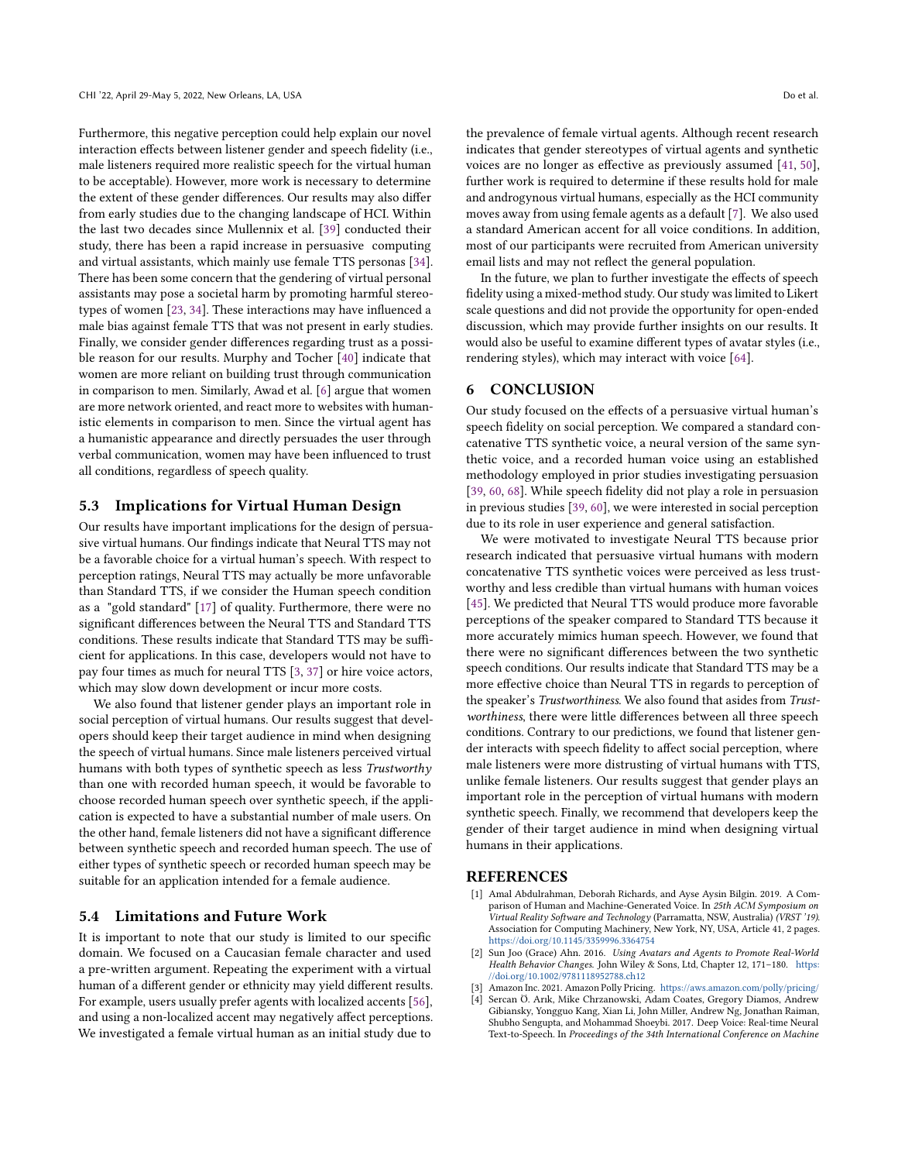Furthermore, this negative perception could help explain our novel interaction efects between listener gender and speech fdelity (i.e., male listeners required more realistic speech for the virtual human to be acceptable). However, more work is necessary to determine the extent of these gender diferences. Our results may also difer from early studies due to the changing landscape of HCI. Within the last two decades since Mullennix et al. [\[39\]](#page-8-10) conducted their study, there has been a rapid increase in persuasive computing and virtual assistants, which mainly use female TTS personas [\[34\]](#page-8-31). There has been some concern that the gendering of virtual personal assistants may pose a societal harm by promoting harmful stereotypes of women [\[23,](#page-8-37) [34\]](#page-8-31). These interactions may have infuenced a male bias against female TTS that was not present in early studies. Finally, we consider gender diferences regarding trust as a possible reason for our results. Murphy and Tocher [\[40\]](#page-8-38) indicate that women are more reliant on building trust through communication in comparison to men. Similarly, Awad et al. [\[6\]](#page-8-39) argue that women are more network oriented, and react more to websites with humanistic elements in comparison to men. Since the virtual agent has a humanistic appearance and directly persuades the user through verbal communication, women may have been infuenced to trust all conditions, regardless of speech quality.

# 5.3 Implications for Virtual Human Design

Our results have important implications for the design of persuasive virtual humans. Our fndings indicate that Neural TTS may not be a favorable choice for a virtual human's speech. With respect to perception ratings, Neural TTS may actually be more unfavorable than Standard TTS, if we consider the Human speech condition as a "gold standard" [\[17\]](#page-8-4) of quality. Furthermore, there were no signifcant diferences between the Neural TTS and Standard TTS conditions. These results indicate that Standard TTS may be sufficient for applications. In this case, developers would not have to pay four times as much for neural TTS [\[3,](#page-7-3) [37\]](#page-8-40) or hire voice actors, which may slow down development or incur more costs.

We also found that listener gender plays an important role in social perception of virtual humans. Our results suggest that developers should keep their target audience in mind when designing the speech of virtual humans. Since male listeners perceived virtual humans with both types of synthetic speech as less Trustworthy than one with recorded human speech, it would be favorable to choose recorded human speech over synthetic speech, if the application is expected to have a substantial number of male users. On the other hand, female listeners did not have a signifcant diference between synthetic speech and recorded human speech. The use of either types of synthetic speech or recorded human speech may be suitable for an application intended for a female audience.

# 5.4 Limitations and Future Work

It is important to note that our study is limited to our specifc domain. We focused on a Caucasian female character and used a pre-written argument. Repeating the experiment with a virtual human of a diferent gender or ethnicity may yield diferent results. For example, users usually prefer agents with localized accents [\[56\]](#page-9-6), and using a non-localized accent may negatively afect perceptions. We investigated a female virtual human as an initial study due to

the prevalence of female virtual agents. Although recent research indicates that gender stereotypes of virtual agents and synthetic voices are no longer as efective as previously assumed [\[41,](#page-8-27) [50\]](#page-9-17), further work is required to determine if these results hold for male and androgynous virtual humans, especially as the HCI community moves away from using female agents as a default [\[7\]](#page-8-41). We also used a standard American accent for all voice conditions. In addition, most of our participants were recruited from American university email lists and may not refect the general population.

In the future, we plan to further investigate the effects of speech fidelity using a mixed-method study. Our study was limited to Likert scale questions and did not provide the opportunity for open-ended discussion, which may provide further insights on our results. It would also be useful to examine diferent types of avatar styles (i.e., rendering styles), which may interact with voice [\[64\]](#page-9-25).

#### 6 CONCLUSION

Our study focused on the efects of a persuasive virtual human's speech fdelity on social perception. We compared a standard concatenative TTS synthetic voice, a neural version of the same synthetic voice, and a recorded human voice using an established methodology employed in prior studies investigating persuasion [\[39,](#page-8-10) [60,](#page-9-5) [68\]](#page-9-12). While speech fidelity did not play a role in persuasion in previous studies [\[39,](#page-8-10) [60\]](#page-9-5), we were interested in social perception due to its role in user experience and general satisfaction.

We were motivated to investigate Neural TTS because prior research indicated that persuasive virtual humans with modern concatenative TTS synthetic voices were perceived as less trustworthy and less credible than virtual humans with human voices [\[45\]](#page-8-2). We predicted that Neural TTS would produce more favorable perceptions of the speaker compared to Standard TTS because it more accurately mimics human speech. However, we found that there were no signifcant diferences between the two synthetic speech conditions. Our results indicate that Standard TTS may be a more efective choice than Neural TTS in regards to perception of the speaker's Trustworthiness. We also found that asides from Trustworthiness, there were little diferences between all three speech conditions. Contrary to our predictions, we found that listener gender interacts with speech fidelity to affect social perception, where male listeners were more distrusting of virtual humans with TTS, unlike female listeners. Our results suggest that gender plays an important role in the perception of virtual humans with modern synthetic speech. Finally, we recommend that developers keep the gender of their target audience in mind when designing virtual humans in their applications.

# **REFERENCES**

- <span id="page-7-1"></span>[1] Amal Abdulrahman, Deborah Richards, and Ayse Aysin Bilgin. 2019. A Comparison of Human and Machine-Generated Voice. In 25th ACM Symposium on Virtual Reality Software and Technology (Parramatta, NSW, Australia) (VRST '19). Association for Computing Machinery, New York, NY, USA, Article 41, 2 pages. <https://doi.org/10.1145/3359996.3364754>
- <span id="page-7-0"></span>[2] Sun Joo (Grace) Ahn. 2016. Using Avatars and Agents to Promote Real-World Health Behavior Changes. John Wiley & Sons, Ltd, Chapter 12, 171–180. [https:](https://doi.org/10.1002/9781118952788.ch12) [//doi.org/10.1002/9781118952788.ch12](https://doi.org/10.1002/9781118952788.ch12)
- <span id="page-7-3"></span>Amazon Inc. 2021. Amazon Polly Pricing. <https://aws.amazon.com/polly/pricing/>
- <span id="page-7-2"></span>Sercan Ö. Arık, Mike Chrzanowski, Adam Coates, Gregory Diamos, Andrew Gibiansky, Yongguo Kang, Xian Li, John Miller, Andrew Ng, Jonathan Raiman, Shubho Sengupta, and Mohammad Shoeybi. 2017. Deep Voice: Real-time Neural Text-to-Speech. In Proceedings of the 34th International Conference on Machine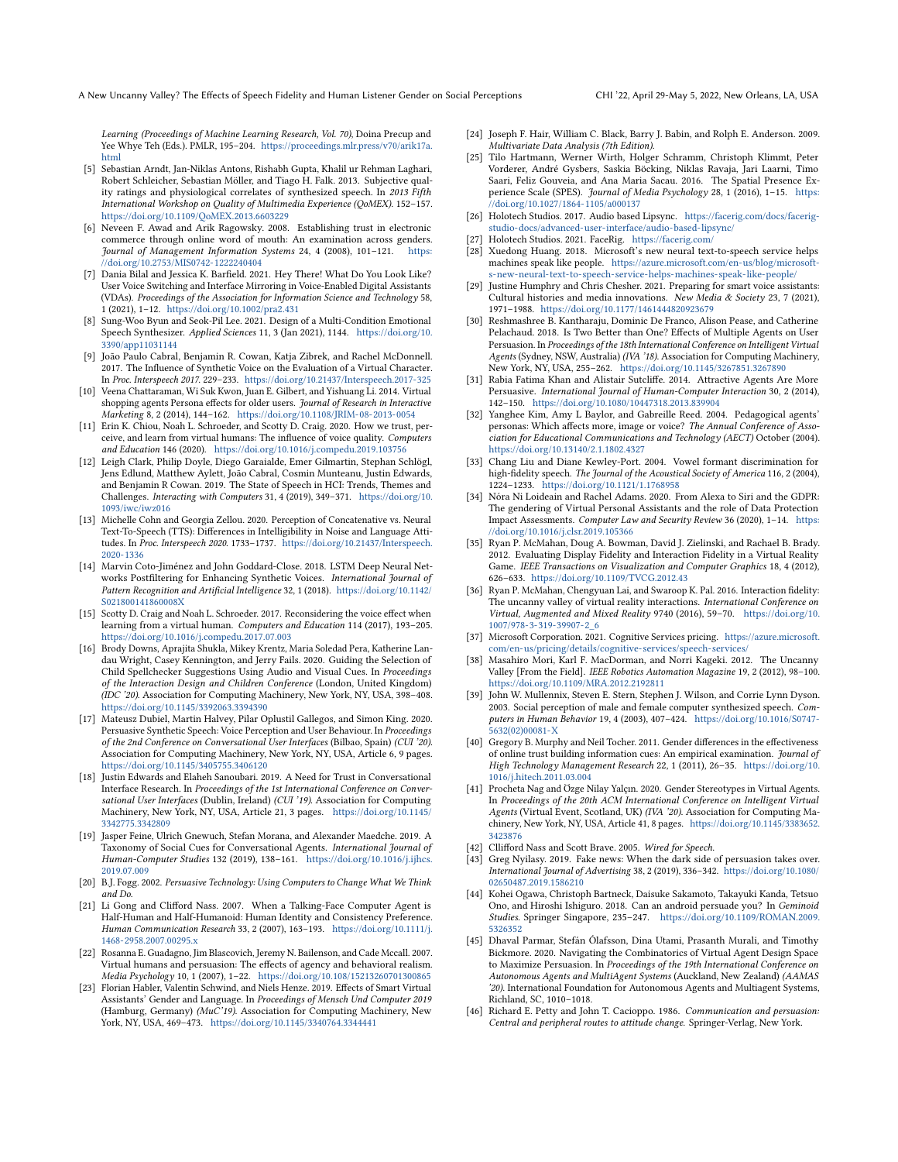A New Uncanny Valley? The Efects of Speech Fidelity and Human Listener Gender on Social Perceptions CHI '22, April 29-May 5, 2022, New Orleans, LA, USA

Learning (Proceedings of Machine Learning Research, Vol. 70), Doina Precup and Yee Whye Teh (Eds.). PMLR, 195–204. [https://proceedings.mlr.press/v70/arik17a.](https://proceedings.mlr.press/v70/arik17a.html) [html](https://proceedings.mlr.press/v70/arik17a.html)

- <span id="page-8-24"></span>[5] Sebastian Arndt, Jan-Niklas Antons, Rishabh Gupta, Khalil ur Rehman Laghari, Robert Schleicher, Sebastian Möller, and Tiago H. Falk. 2013. Subjective quality ratings and physiological correlates of synthesized speech. In 2013 Fifth International Workshop on Quality of Multimedia Experience (QoMEX). 152–157. <https://doi.org/10.1109/QoMEX.2013.6603229>
- <span id="page-8-39"></span>[6] Neveen F. Awad and Arik Ragowsky. 2008. Establishing trust in electronic commerce through online word of mouth: An examination across genders. Journal of Management Information Systems 24, 4 (2008), 101–121. [https:](https://doi.org/10.2753/MIS0742-1222240404) [//doi.org/10.2753/MIS0742-1222240404](https://doi.org/10.2753/MIS0742-1222240404)
- <span id="page-8-41"></span>[7] Dania Bilal and Jessica K. Barfeld. 2021. Hey There! What Do You Look Like? User Voice Switching and Interface Mirroring in Voice-Enabled Digital Assistants (VDAs). Proceedings of the Association for Information Science and Technology 58, 1 (2021), 1–12. <https://doi.org/10.1002/pra2.431>
- <span id="page-8-25"></span>[8] Sung-Woo Byun and Seok-Pil Lee. 2021. Design of a Multi-Condition Emotional Speech Synthesizer. Applied Sciences 11, 3 (Jan 2021), 1144. [https://doi.org/10.](https://doi.org/10.3390/app11031144) [3390/app11031144](https://doi.org/10.3390/app11031144)
- <span id="page-8-23"></span>[9] João Paulo Cabral, Benjamin R. Cowan, Katja Zibrek, and Rachel McDonnell. 2017. The Infuence of Synthetic Voice on the Evaluation of a Virtual Character. In Proc. Interspeech 2017. 229–233. <https://doi.org/10.21437/Interspeech.2017-325>
- <span id="page-8-19"></span>[10] Veena Chattaraman, Wi Suk Kwon, Juan E. Gilbert, and Yishuang Li. 2014. Virtual shopping agents Persona effects for older users. Journal of Research in Interactive Marketing 8, 2 (2014), 144–162. <https://doi.org/10.1108/JRIM-08-2013-0054>
- <span id="page-8-11"></span>[11] Erin K. Chiou, Noah L. Schroeder, and Scotty D. Craig. 2020. How we trust, perceive, and learn from virtual humans: The infuence of voice quality. Computers and Education 146 (2020). <https://doi.org/10.1016/j.compedu.2019.103756>
- <span id="page-8-15"></span>[12] Leigh Clark, Philip Doyle, Diego Garaialde, Emer Gilmartin, Stephan Schlögl, Jens Edlund, Matthew Aylett, João Cabral, Cosmin Munteanu, Justin Edwards, and Benjamin R Cowan. 2019. The State of Speech in HCI: Trends, Themes and Challenges. Interacting with Computers 31, 4 (2019), 349–371. [https://doi.org/10.](https://doi.org/10.1093/iwc/iwz016) [1093/iwc/iwz016](https://doi.org/10.1093/iwc/iwz016)
- <span id="page-8-12"></span>[13] Michelle Cohn and Georgia Zellou. 2020. Perception of Concatenative vs. Neural Text-To-Speech (TTS): Diferences in Intelligibility in Noise and Language Attitudes. In Proc. Interspeech 2020. 1733–1737. [https://doi.org/10.21437/Interspeech.](https://doi.org/10.21437/Interspeech.2020-1336) [2020-1336](https://doi.org/10.21437/Interspeech.2020-1336)
- <span id="page-8-13"></span>[14] Marvin Coto-Jiménez and John Goddard-Close. 2018. LSTM Deep Neural Networks Postfltering for Enhancing Synthetic Voices. International Journal of Pattern Recognition and Artifcial Intelligence 32, 1 (2018). [https://doi.org/10.1142/](https://doi.org/10.1142/S021800141860008X) [S021800141860008X](https://doi.org/10.1142/S021800141860008X)
- <span id="page-8-0"></span>[15] Scotty D. Craig and Noah L. Schroeder. 2017. Reconsidering the voice efect when learning from a virtual human. Computers and Education 114 (2017), 193–205. <https://doi.org/10.1016/j.compedu.2017.07.003>
- <span id="page-8-29"></span>[16] Brody Downs, Aprajita Shukla, Mikey Krentz, Maria Soledad Pera, Katherine Landau Wright, Casey Kennington, and Jerry Fails. 2020. Guiding the Selection of Child Spellchecker Suggestions Using Audio and Visual Cues. In Proceedings of the Interaction Design and Children Conference (London, United Kingdom) (IDC '20). Association for Computing Machinery, New York, NY, USA, 398–408. <https://doi.org/10.1145/3392063.3394390>
- <span id="page-8-4"></span>[17] Mateusz Dubiel, Martin Halvey, Pilar Oplustil Gallegos, and Simon King. 2020. Persuasive Synthetic Speech: Voice Perception and User Behaviour. In Proceedings of the 2nd Conference on Conversational User Interfaces (Bilbao, Spain) (CUI '20). Association for Computing Machinery, New York, NY, USA, Article 6, 9 pages. <https://doi.org/10.1145/3405755.3406120>
- <span id="page-8-8"></span>[18] Justin Edwards and Elaheh Sanoubari. 2019. A Need for Trust in Conversational Interface Research. In Proceedings of the 1st International Conference on Conversational User Interfaces (Dublin, Ireland) (CUI '19). Association for Computing Machinery, New York, NY, USA, Article 21, 3 pages. [https://doi.org/10.1145/](https://doi.org/10.1145/3342775.3342809) [3342775.3342809](https://doi.org/10.1145/3342775.3342809)
- <span id="page-8-7"></span>[19] Jasper Feine, Ulrich Gnewuch, Stefan Morana, and Alexander Maedche. 2019. A Taxonomy of Social Cues for Conversational Agents. International Journal of Human-Computer Studies 132 (2019), 138–161. [https://doi.org/10.1016/j.ijhcs.](https://doi.org/10.1016/j.ijhcs.2019.07.009) [2019.07.009](https://doi.org/10.1016/j.ijhcs.2019.07.009)
- <span id="page-8-18"></span>[20] B.J. Fogg. 2002. Persuasive Technology: Using Computers to Change What We Think and Do.
- <span id="page-8-21"></span>[21] Li Gong and Cliford Nass. 2007. When a Talking-Face Computer Agent is Half-Human and Half-Humanoid: Human Identity and Consistency Preference. Human Communication Research 33, 2 (2007), 163–193. [https://doi.org/10.1111/j.](https://doi.org/10.1111/j.1468-2958.2007.00295.x) [1468-2958.2007.00295.x](https://doi.org/10.1111/j.1468-2958.2007.00295.x)
- <span id="page-8-20"></span>[22] Rosanna E. Guadagno, Jim Blascovich, Jeremy N. Bailenson, and Cade Mccall. 2007. Virtual humans and persuasion: The efects of agency and behavioral realism. Media Psychology 10, 1 (2007), 1–22. <https://doi.org/10.108/15213260701300865>
- <span id="page-8-37"></span>[23] Florian Habler, Valentin Schwind, and Niels Henze. 2019. Efects of Smart Virtual Assistants' Gender and Language. In Proceedings of Mensch Und Computer 2019 (Hamburg, Germany) (MuC'19). Association for Computing Machinery, New York, NY, USA, 469–473. <https://doi.org/10.1145/3340764.3344441>
- <span id="page-8-35"></span>[24] Joseph F. Hair, William C. Black, Barry J. Babin, and Rolph E. Anderson. 2009. Multivariate Data Analysis (7th Edition).
- <span id="page-8-34"></span>[25] Tilo Hartmann, Werner Wirth, Holger Schramm, Christoph Klimmt, Peter Vorderer, André Gysbers, Saskia Böcking, Niklas Ravaja, Jari Laarni, Timo Saari, Feliz Gouveia, and Ana Maria Sacau. 2016. The Spatial Presence Experience Scale (SPES). Journal of Media Psychology 28, 1 (2016), 1-15. [https:](https://doi.org/10.1027/1864-1105/a000137) [//doi.org/10.1027/1864-1105/a000137](https://doi.org/10.1027/1864-1105/a000137)
- <span id="page-8-32"></span>[26] Holotech Studios. 2017. Audio based Lipsync. [https://facerig.com/docs/facerig](https://facerig.com/docs/facerig-studio-docs/advanced-user-interface/audio-based-lipsync/)[studio-docs/advanced-user-interface/audio-based-lipsync/](https://facerig.com/docs/facerig-studio-docs/advanced-user-interface/audio-based-lipsync/)
- <span id="page-8-30"></span>Holotech Studios. 2021. FaceRig. <https://facerig.com/>
- <span id="page-8-14"></span>[28] Xuedong Huang. 2018. Microsoft's new neural text-to-speech service helps machines speak like people. [https://azure.microsoft.com/en-us/blog/microsoft](https://azure.microsoft.com/en-us/blog/microsoft-s-new-neural-text-to-speech-service-helps-machines-speak-like-people/)[s-new-neural-text-to-speech-service-helps-machines-speak-like-people/](https://azure.microsoft.com/en-us/blog/microsoft-s-new-neural-text-to-speech-service-helps-machines-speak-like-people/)
- <span id="page-8-26"></span>[29] Justine Humphry and Chris Chesher. 2021. Preparing for smart voice assistants: Cultural histories and media innovations. New Media & Society 23, 7 (2021), 1971–1988. <https://doi.org/10.1177/1461444820923679>
- <span id="page-8-16"></span>[30] Reshmashree B. Kantharaju, Dominic De Franco, Alison Pease, and Catherine Pelachaud. 2018. Is Two Better than One? Efects of Multiple Agents on User Persuasion. In Proceedings of the 18th International Conference on Intelligent Virtual Agents (Sydney, NSW, Australia) (IVA '18). Association for Computing Machinery, New York, NY, USA, 255–262. <https://doi.org/10.1145/3267851.3267890>
- <span id="page-8-5"></span>[31] Rabia Fatima Khan and Alistair Sutclife. 2014. Attractive Agents Are More Persuasive. International Journal of Human-Computer Interaction 30, 2 (2014), 142–150. <https://doi.org/10.1080/10447318.2013.839904>
- <span id="page-8-1"></span>[32] Yanghee Kim, Amy L Baylor, and Gabreille Reed. 2004. Pedagogical agents' personas: Which affects more, image or voice? The Annual Conference of Association for Educational Communications and Technology (AECT) October (2004). <https://doi.org/10.13140/2.1.1802.4327>
- <span id="page-8-6"></span>[33] Chang Liu and Diane Kewley-Port. 2004. Vowel formant discrimination for high-fidelity speech. The Journal of the Acoustical Society of America 116, 2 (2004), 1224–1233. <https://doi.org/10.1121/1.1768958>
- <span id="page-8-31"></span>[34] Nóra Ni Loideain and Rachel Adams. 2020. From Alexa to Siri and the GDPR: The gendering of Virtual Personal Assistants and the role of Data Protection Impact Assessments. Computer Law and Security Review 36 (2020), 1–14. [https:](https://doi.org/10.1016/j.clsr.2019.105366) [//doi.org/10.1016/j.clsr.2019.105366](https://doi.org/10.1016/j.clsr.2019.105366)
- <span id="page-8-9"></span>[35] Ryan P. McMahan, Doug A. Bowman, David J. Zielinski, and Rachael B. Brady. 2012. Evaluating Display Fidelity and Interaction Fidelity in a Virtual Reality Game. IEEE Transactions on Visualization and Computer Graphics 18, 4 (2012), 626–633. <https://doi.org/10.1109/TVCG.2012.43>
- <span id="page-8-36"></span>[36] Ryan P. McMahan, Chengyuan Lai, and Swaroop K. Pal. 2016. Interaction fdelity: The uncanny valley of virtual reality interactions. International Conference on Virtual, Augmented and Mixed Reality 9740 (2016), 59–70. [https://doi.org/10.](https://doi.org/10.1007/978-3-319-39907-2_6) [1007/978-3-319-39907-2\\_6](https://doi.org/10.1007/978-3-319-39907-2_6)
- <span id="page-8-40"></span>[37] Microsoft Corporation. 2021. Cognitive Services pricing. [https://azure.microsoft.](https://azure.microsoft.com/en-us/pricing/details/cognitive-services/speech-services/) [com/en-us/pricing/details/cognitive-services/speech-services/](https://azure.microsoft.com/en-us/pricing/details/cognitive-services/speech-services/)
- <span id="page-8-17"></span>[38] Masahiro Mori, Karl F. MacDorman, and Norri Kageki. 2012. The Uncanny Valley [From the Field]. IEEE Robotics Automation Magazine 19, 2 (2012), 98–100. <https://doi.org/10.1109/MRA.2012.2192811>
- <span id="page-8-10"></span>[39] John W. Mullennix, Steven E. Stern, Stephen J. Wilson, and Corrie Lynn Dyson. 2003. Social perception of male and female computer synthesized speech. Computers in Human Behavior 19, 4 (2003), 407–424. [https://doi.org/10.1016/S0747-](https://doi.org/10.1016/S0747-5632(02)00081-X) [5632\(02\)00081-X](https://doi.org/10.1016/S0747-5632(02)00081-X)
- <span id="page-8-38"></span>[40] Gregory B. Murphy and Neil Tocher. 2011. Gender diferences in the efectiveness of online trust building information cues: An empirical examination. Journal of High Technology Management Research 22, 1 (2011), 26–35. [https://doi.org/10.](https://doi.org/10.1016/j.hitech.2011.03.004) [1016/j.hitech.2011.03.004](https://doi.org/10.1016/j.hitech.2011.03.004)
- <span id="page-8-27"></span>[41] Procheta Nag and Özge Nilay Yalçın. 2020. Gender Stereotypes in Virtual Agents. In Proceedings of the 20th ACM International Conference on Intelligent Virtual Agents (Virtual Event, Scotland, UK) (IVA '20). Association for Computing Machinery, New York, NY, USA, Article 41, 8 pages. [https://doi.org/10.1145/3383652.](https://doi.org/10.1145/3383652.3423876) [3423876](https://doi.org/10.1145/3383652.3423876)
- <span id="page-8-22"></span>[42] Cllifford Nass and Scott Brave. 2005. Wired for Speech.
- <span id="page-8-3"></span>[43] Greg Nyilasy. 2019. Fake news: When the dark side of persuasion takes over. International Journal of Advertising 38, 2 (2019), 336–342. [https://doi.org/10.1080/](https://doi.org/10.1080/02650487.2019.1586210) [02650487.2019.1586210](https://doi.org/10.1080/02650487.2019.1586210)
- <span id="page-8-33"></span>[44] Kohei Ogawa, Christoph Bartneck, Daisuke Sakamoto, Takayuki Kanda, Tetsuo Ono, and Hiroshi Ishiguro. 2018. Can an android persuade you? In Geminoid Studies. Springer Singapore, 235–247. [https://doi.org/10.1109/ROMAN.2009.](https://doi.org/10.1109/ROMAN.2009.5326352) [5326352](https://doi.org/10.1109/ROMAN.2009.5326352)
- <span id="page-8-2"></span>[45] Dhaval Parmar, Stefán Ólafsson, Dina Utami, Prasanth Murali, and Timothy Bickmore. 2020. Navigating the Combinatorics of Virtual Agent Design Space to Maximize Persuasion. In Proceedings of the 19th International Conference on Autonomous Agents and MultiAgent Systems (Auckland, New Zealand) (AAMAS '20). International Foundation for Autonomous Agents and Multiagent Systems, Richland, SC, 1010–1018.
- <span id="page-8-28"></span>[46] Richard E. Petty and John T. Cacioppo. 1986. Communication and persuasion: Central and peripheral routes to attitude change. Springer-Verlag, New York.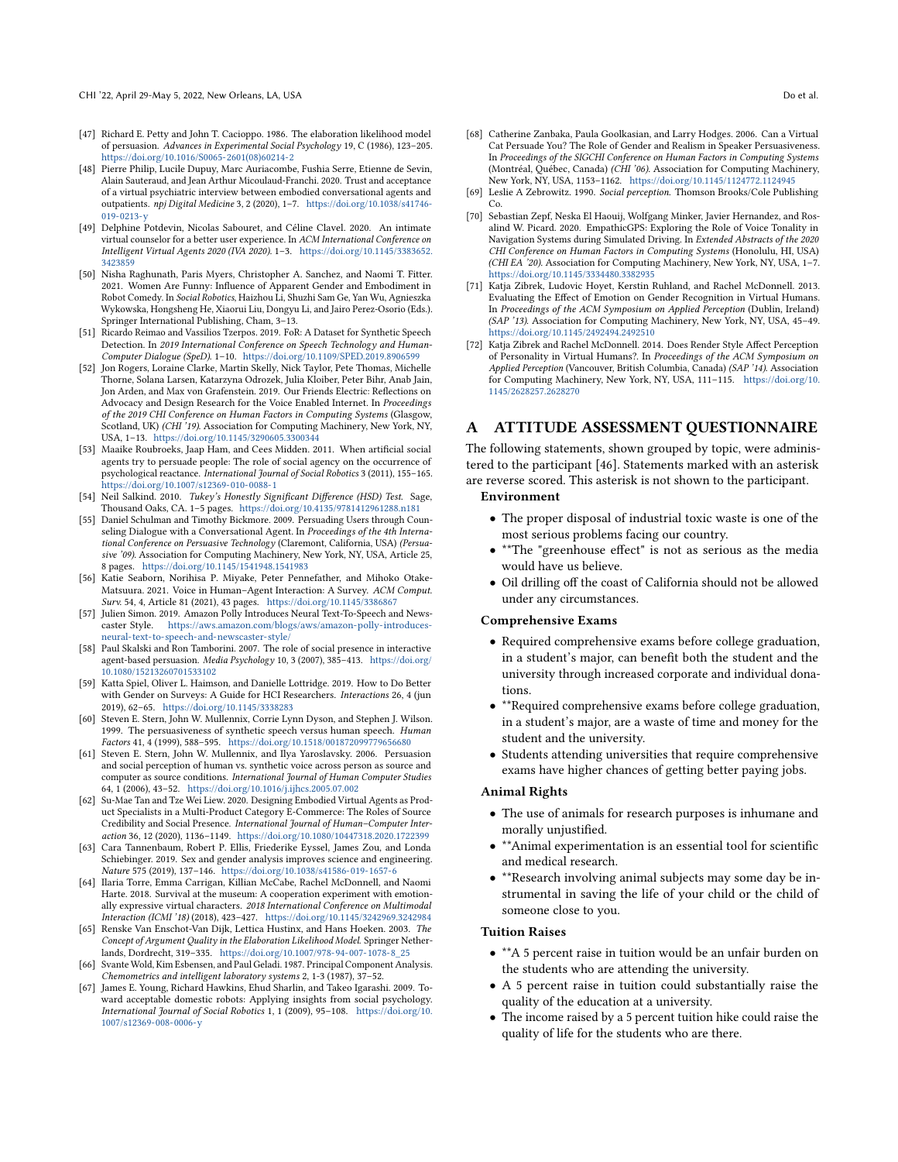- <span id="page-9-8"></span>[47] Richard E. Petty and John T. Cacioppo. 1986. The elaboration likelihood model of persuasion. Advances in Experimental Social Psychology 19, C (1986), 123–205. [https://doi.org/10.1016/S0065-2601\(08\)60214-2](https://doi.org/10.1016/S0065-2601(08)60214-2)
- <span id="page-9-7"></span>[48] Pierre Philip, Lucile Dupuy, Marc Auriacombe, Fushia Serre, Etienne de Sevin, Alain Sauteraud, and Jean Arthur Micoulaud-Franchi. 2020. Trust and acceptance of a virtual psychiatric interview between embodied conversational agents and outpatients. npj Digital Medicine 3, 2 (2020), 1–7. [https://doi.org/10.1038/s41746-](https://doi.org/10.1038/s41746-019-0213-y) [019-0213-y](https://doi.org/10.1038/s41746-019-0213-y)
- <span id="page-9-14"></span>[49] Delphine Potdevin, Nicolas Sabouret, and Céline Clavel. 2020. An intimate virtual counselor for a better user experience. In ACM International Conference on Intelligent Virtual Agents 2020 (IVA 2020). 1–3. [https://doi.org/10.1145/3383652.](https://doi.org/10.1145/3383652.3423859) 423859
- <span id="page-9-17"></span>[50] Nisha Raghunath, Paris Myers, Christopher A. Sanchez, and Naomi T. Fitter. 2021. Women Are Funny: Infuence of Apparent Gender and Embodiment in Robot Comedy. In Social Robotics, Haizhou Li, Shuzhi Sam Ge, Yan Wu, Agnieszka Wykowska, Hongsheng He, Xiaorui Liu, Dongyu Li, and Jairo Perez-Osorio (Eds.). Springer International Publishing, Cham, 3–13.
- <span id="page-9-21"></span>[51] Ricardo Reimao and Vassilios Tzerpos. 2019. FoR: A Dataset for Synthetic Speech Detection. In 2019 International Conference on Speech Technology and Human-Computer Dialogue (SpeD). 1–10. <https://doi.org/10.1109/SPED.2019.8906599>
- <span id="page-9-1"></span>[52] Jon Rogers, Loraine Clarke, Martin Skelly, Nick Taylor, Pete Thomas, Michelle Thorne, Solana Larsen, Katarzyna Odrozek, Julia Kloiber, Peter Bihr, Anab Jain, Jon Arden, and Max von Grafenstein. 2019. Our Friends Electric: Refections on Advocacy and Design Research for the Voice Enabled Internet. In Proceedings of the 2019 CHI Conference on Human Factors in Computing Systems (Glasgow, Scotland, UK) (CHI<sup>5</sup>19). Association for Computing Machinery, New York, NY, USA, 1–13. <https://doi.org/10.1145/3290605.3300344>
- <span id="page-9-0"></span>[53] Maaike Roubroeks, Jaap Ham, and Cees Midden. 2011. When artifcial social agents try to persuade people: The role of social agency on the occurrence of psychological reactance. International Journal of Social Robotics 3 (2011), 155–165. <https://doi.org/10.1007/s12369-010-0088-1>
- <span id="page-9-24"></span>[54] Neil Salkind. 2010. Tukey's Honestly Significant Difference (HSD) Test. Sage, Thousand Oaks, CA. 1–5 pages. <https://doi.org/10.4135/9781412961288.n181>
- <span id="page-9-10"></span>[55] Daniel Schulman and Timothy Bickmore. 2009. Persuading Users through Counseling Dialogue with a Conversational Agent. In Proceedings of the 4th International Conference on Persuasive Technology (Claremont, California, USA) (Persuasive '09). Association for Computing Machinery, New York, NY, USA, Article 25, 8 pages. <https://doi.org/10.1145/1541948.1541983>
- <span id="page-9-6"></span>[56] Katie Seaborn, Norihisa P. Miyake, Peter Pennefather, and Mihoko Otake-Matsuura. 2021. Voice in Human–Agent Interaction: A Survey. ACM Comput. Surv. 54, 4, Article 81 (2021), 43 pages. <https://doi.org/10.1145/3386867>
- <span id="page-9-18"></span>[57] Julien Simon. 2019. Amazon Polly Introduces Neural Text-To-Speech and Newscaster Style. [https://aws.amazon.com/blogs/aws/amazon-polly-introduces](https://aws.amazon.com/blogs/aws/amazon-polly-introduces-neural-text-to-speech-and-newscaster-style/)[neural-text-to-speech-and-newscaster-style/](https://aws.amazon.com/blogs/aws/amazon-polly-introduces-neural-text-to-speech-and-newscaster-style/)
- <span id="page-9-2"></span>[58] Paul Skalski and Ron Tamborini. 2007. The role of social presence in interactive agent-based persuasion. Media Psychology 10, 3 (2007), 385–413. [https://doi.org/](https://doi.org/10.1080/15213260701533102) [10.1080/15213260701533102](https://doi.org/10.1080/15213260701533102)
- <span id="page-9-20"></span>[59] Katta Spiel, Oliver L. Haimson, and Danielle Lottridge. 2019. How to Do Better with Gender on Surveys: A Guide for HCI Researchers. Interactions 26, 4 (jun 2019), 62–65. <https://doi.org/10.1145/3338283>
- <span id="page-9-5"></span>[60] Steven E. Stern, John W. Mullennix, Corrie Lynn Dyson, and Stephen J. Wilson. 1999. The persuasiveness of synthetic speech versus human speech. Human Factors 41, 4 (1999), 588–595. <https://doi.org/10.1518/001872099779656680>
- <span id="page-9-11"></span>[61] Steven E. Stern, John W. Mullennix, and Ilya Yaroslavsky. 2006. Persuasion and social perception of human vs. synthetic voice across person as source and computer as source conditions. International Journal of Human Computer Studies 64, 1 (2006), 43–52. <https://doi.org/10.1016/j.ijhcs.2005.07.002>
- <span id="page-9-13"></span>[62] Su-Mae Tan and Tze Wei Liew. 2020. Designing Embodied Virtual Agents as Product Specialists in a Multi-Product Category E-Commerce: The Roles of Source Credibility and Social Presence. International Journal of Human–Computer Interaction 36, 12 (2020), 1136–1149. <https://doi.org/10.1080/10447318.2020.1722399>
- <span id="page-9-19"></span>[63] Cara Tannenbaum, Robert P. Ellis, Friederike Eyssel, James Zou, and Londa Schiebinger. 2019. Sex and gender analysis improves science and engineering. Nature 575 (2019), 137–146. <https://doi.org/10.1038/s41586-019-1657-6>
- <span id="page-9-25"></span>[64] Ilaria Torre, Emma Carrigan, Killian McCabe, Rachel McDonnell, and Naomi Harte. 2018. Survival at the museum: A cooperation experiment with emotionally expressive virtual characters. 2018 International Conference on Multimodal Interaction (ICMI '18) (2018), 423–427. <https://doi.org/10.1145/3242969.3242984>
- <span id="page-9-9"></span>[65] Renske Van Enschot-Van Dijk, Lettica Hustinx, and Hans Hoeken. 2003. The Concept of Argument Quality in the Elaboration Likelihood Model. Springer Netherlands, Dordrecht, 319–335. [https://doi.org/10.1007/978-94-007-1078-8\\_25](https://doi.org/10.1007/978-94-007-1078-8_25)
- <span id="page-9-23"></span>[66] Svante Wold, Kim Esbensen, and Paul Geladi. 1987. Principal Component Analysis. Chemometrics and intelligent laboratory systems 2, 1-3 (1987), 37–52.
- <span id="page-9-4"></span>[67] James E. Young, Richard Hawkins, Ehud Sharlin, and Takeo Igarashi. 2009. Toward acceptable domestic robots: Applying insights from social psychology. International Journal of Social Robotics 1, 1 (2009), 95–108. [https://doi.org/10.](https://doi.org/10.1007/s12369-008-0006-y) [1007/s12369-008-0006-y](https://doi.org/10.1007/s12369-008-0006-y)
- <span id="page-9-12"></span>[68] Catherine Zanbaka, Paula Goolkasian, and Larry Hodges. 2006. Can a Virtual Cat Persuade You? The Role of Gender and Realism in Speaker Persuasiveness. In Proceedings of the SIGCHI Conference on Human Factors in Computing Systems
- (Montréal, Québec, Canada) (CHI '06). Association for Computing Machinery, New York, NY, USA, 1153–1162. <https://doi.org/10.1145/1124772.1124945> [69] Leslie A Zebrowitz. 1990. Social perception. Thomson Brooks/Cole Publishing
- <span id="page-9-3"></span>Co. [70] Sebastian Zepf, Neska El Haouij, Wolfgang Minker, Javier Hernandez, and Ros-
- <span id="page-9-22"></span>alind W. Picard. 2020. EmpathicGPS: Exploring the Role of Voice Tonality in Navigation Systems during Simulated Driving. In Extended Abstracts of the 2020 CHI Conference on Human Factors in Computing Systems (Honolulu, HI, USA) (CHI EA '20). Association for Computing Machinery, New York, NY, USA, 1–7. <https://doi.org/10.1145/3334480.3382935>
- <span id="page-9-16"></span>[71] Katja Zibrek, Ludovic Hoyet, Kerstin Ruhland, and Rachel McDonnell. 2013. Evaluating the Efect of Emotion on Gender Recognition in Virtual Humans. In Proceedings of the ACM Symposium on Applied Perception (Dublin, Ireland) (SAP '13). Association for Computing Machinery, New York, NY, USA, 45–49. <https://doi.org/10.1145/2492494.2492510>
- <span id="page-9-15"></span>[72] Katja Zibrek and Rachel McDonnell. 2014. Does Render Style Afect Perception of Personality in Virtual Humans?. In Proceedings of the ACM Symposium on Applied Perception (Vancouver, British Columbia, Canada) (SAP '14). Association for Computing Machinery, New York, NY, USA, 111–115. [https://doi.org/10.](https://doi.org/10.1145/2628257.2628270) [1145/2628257.2628270](https://doi.org/10.1145/2628257.2628270)

# A ATTITUDE ASSESSMENT QUESTIONNAIRE

The following statements, shown grouped by topic, were administered to the participant [46]. Statements marked with an asterisk are reverse scored. This asterisk is not shown to the participant.

#### Environment

- The proper disposal of industrial toxic waste is one of the most serious problems facing our country.
- \*\*The "greenhouse efect" is not as serious as the media would have us believe.
- Oil drilling off the coast of California should not be allowed under any circumstances.

#### Comprehensive Exams

- Required comprehensive exams before college graduation, in a student's major, can beneft both the student and the university through increased corporate and individual donations.
- \*\*Required comprehensive exams before college graduation, in a student's major, are a waste of time and money for the student and the university.
- Students attending universities that require comprehensive exams have higher chances of getting better paying jobs.

#### Animal Rights

- The use of animals for research purposes is inhumane and morally unjustifed.
- \*\*Animal experimentation is an essential tool for scientifc and medical research.
- \*\*Research involving animal subjects may some day be instrumental in saving the life of your child or the child of someone close to you.

#### Tuition Raises

- \*\*A 5 percent raise in tuition would be an unfair burden on the students who are attending the university.
- A 5 percent raise in tuition could substantially raise the quality of the education at a university.
- The income raised by a 5 percent tuition hike could raise the quality of life for the students who are there.